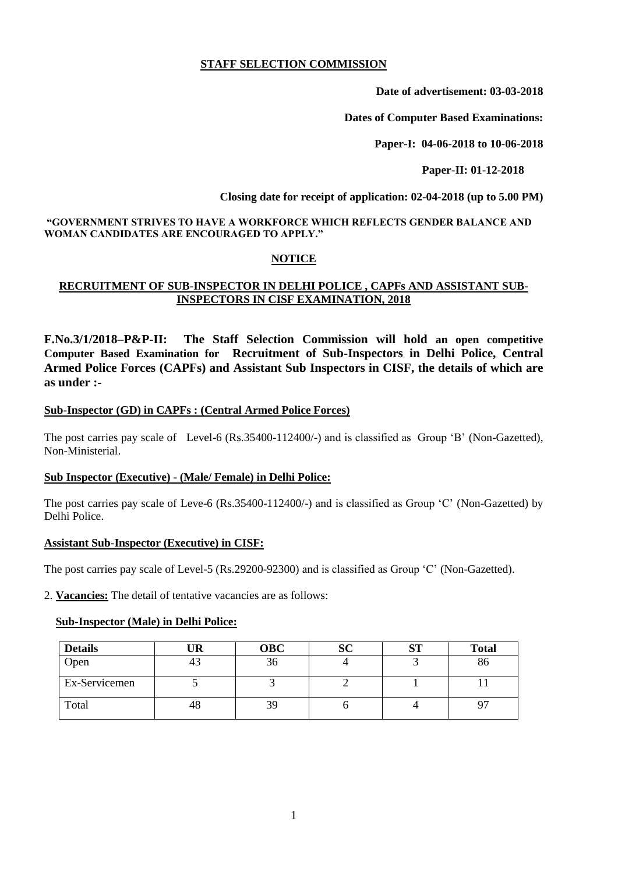### **STAFF SELECTION COMMISSION**

**Date of advertisement: 03-03-2018**

**Dates of Computer Based Examinations:**

**Paper-I: 04-06-2018 to 10-06-2018**

 **Paper-II: 01-12-2018**

 **Closing date for receipt of application: 02-04-2018 (up to 5.00 PM)**

#### **"GOVERNMENT STRIVES TO HAVE A WORKFORCE WHICH REFLECTS GENDER BALANCE AND WOMAN CANDIDATES ARE ENCOURAGED TO APPLY."**

### **NOTICE**

### **RECRUITMENT OF SUB-INSPECTOR IN DELHI POLICE , CAPFs AND ASSISTANT SUB-INSPECTORS IN CISF EXAMINATION, 2018**

**F.No.3/1/2018–P&P-II: The Staff Selection Commission will hold an open competitive Computer Based Examination for Recruitment of Sub-Inspectors in Delhi Police, Central Armed Police Forces (CAPFs) and Assistant Sub Inspectors in CISF, the details of which are as under :-**

### **Sub-Inspector (GD) in CAPFs : (Central Armed Police Forces)**

The post carries pay scale of Level-6 (Rs.35400-112400/-) and is classified as Group 'B' (Non-Gazetted), Non-Ministerial.

### **Sub Inspector (Executive) - (Male/ Female) in Delhi Police:**

The post carries pay scale of Leve-6 (Rs.35400-112400/-) and is classified as Group "C" (Non-Gazetted) by Delhi Police.

#### **Assistant Sub-Inspector (Executive) in CISF:**

The post carries pay scale of Level-5 (Rs.29200-92300) and is classified as Group "C" (Non-Gazetted).

2. **Vacancies:** The detail of tentative vacancies are as follows:

#### **Sub-Inspector (Male) in Delhi Police:**

| <b>Details</b> | UR | <b>OBC</b> | υU | ст<br>IJ. | <b>Total</b> |
|----------------|----|------------|----|-----------|--------------|
| Open           | 43 | 36         |    |           | 86           |
| Ex-Servicemen  |    |            |    |           |              |
| Total          | 48 | 39         |    |           |              |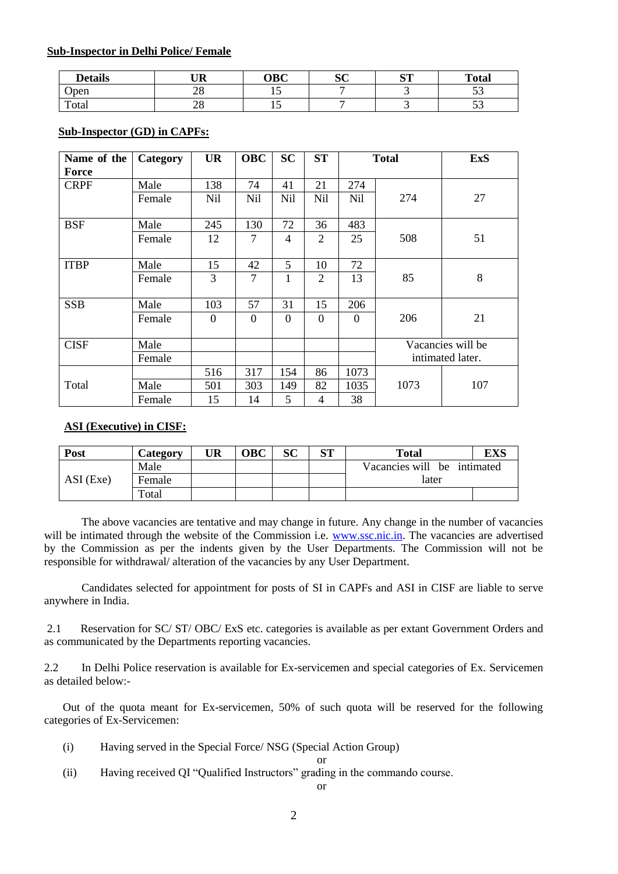#### **Sub-Inspector in Delhi Police/ Female**

| <b>Details</b> | TID<br>UΚ             | <b>OBC</b> | n n<br>υU | $C^{\mathsf{TP}}$<br>ື | <b>Total</b>                   |
|----------------|-----------------------|------------|-----------|------------------------|--------------------------------|
| Open           | $\cap$ $\Omega$<br>∠∪ | ∸          |           |                        | $\sim$ $\sim$<br>ັບ            |
| Total          | nΩ<br>∠∪              | ⊥ັ         |           |                        | $\overline{\phantom{a}}$<br>ັບ |

### **Sub-Inspector (GD) in CAPFs:**

| Name of the | Category | <b>UR</b>  | <b>OBC</b>     | <b>SC</b> | <b>ST</b>      |                 | <b>Total</b>      | <b>ExS</b>       |
|-------------|----------|------------|----------------|-----------|----------------|-----------------|-------------------|------------------|
| Force       |          |            |                |           |                |                 |                   |                  |
| <b>CRPF</b> | Male     | 138        | 74             | 41        | 21             | 274             |                   |                  |
|             | Female   | <b>Nil</b> | Nil            | Nil       | Nil            | N <sub>il</sub> | 274               | 27               |
| <b>BSF</b>  | Male     | 245        | 130            | 72        | 36             | 483             |                   |                  |
|             | Female   | 12         | $\overline{7}$ | 4         | 2              | 25              | 508               | 51               |
| <b>ITBP</b> | Male     | 15         | 42             | 5         | 10             | 72              |                   |                  |
|             | Female   | 3          | 7              | 1         | 2              | 13              | 85                | 8                |
| <b>SSB</b>  | Male     | 103        | 57             | 31        | 15             | 206             |                   |                  |
|             | Female   | $\Omega$   | $\theta$       | $\Omega$  | $\theta$       | $\Omega$        | 206               | 21               |
| <b>CISF</b> | Male     |            |                |           |                |                 | Vacancies will be |                  |
|             | Female   |            |                |           |                |                 |                   | intimated later. |
|             |          | 516        | 317            | 154       | 86             | 1073            |                   |                  |
| Total       | Male     | 501        | 303            | 149       | 82             | 1035            | 1073              | 107              |
|             | Female   | 15         | 14             | 5         | $\overline{4}$ | 38              |                   |                  |

### **ASI (Executive) in CISF:**

| Post        | Category | UR | ЭBC | SC | απ | <b>Total</b>                | EXS |
|-------------|----------|----|-----|----|----|-----------------------------|-----|
|             | Male     |    |     |    |    | Vacancies will be intimated |     |
| $ASI$ (Exe) | Female   |    |     |    |    | later                       |     |
|             | Total    |    |     |    |    |                             |     |

The above vacancies are tentative and may change in future. Any change in the number of vacancies will be intimated through the website of the Commission i.e. [www.ssc.nic.in.](http://www.ssc.nic.in/) The vacancies are advertised by the Commission as per the indents given by the User Departments. The Commission will not be responsible for withdrawal/ alteration of the vacancies by any User Department.

Candidates selected for appointment for posts of SI in CAPFs and ASI in CISF are liable to serve anywhere in India.

2.1 Reservation for SC/ ST/ OBC/ ExS etc. categories is available as per extant Government Orders and as communicated by the Departments reporting vacancies.

2.2 In Delhi Police reservation is available for Ex-servicemen and special categories of Ex. Servicemen as detailed below:-

Out of the quota meant for Ex-servicemen, 50% of such quota will be reserved for the following categories of Ex-Servicemen:

(i) Having served in the Special Force/ NSG (Special Action Group)

or

(ii) Having received QI "Qualified Instructors" grading in the commando course.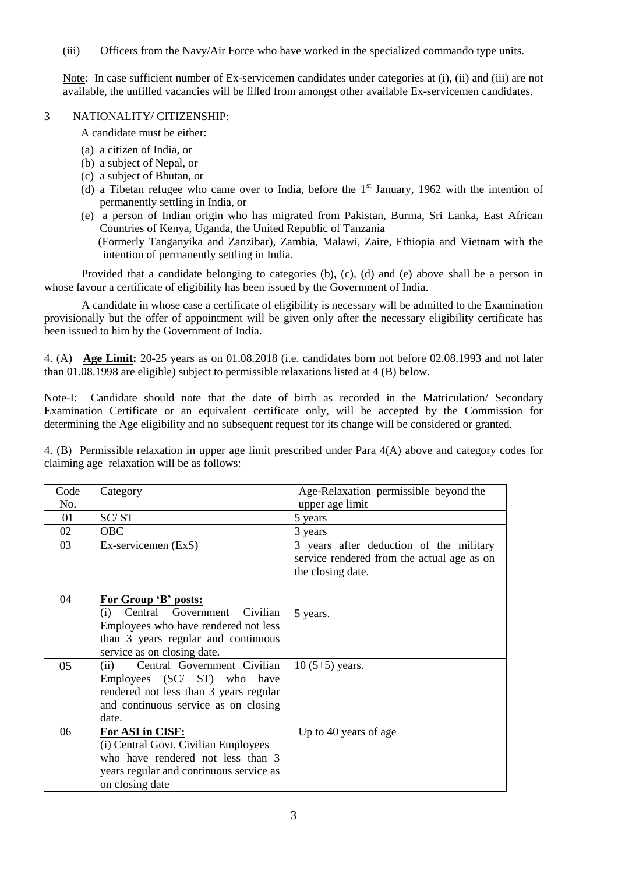(iii) Officers from the Navy/Air Force who have worked in the specialized commando type units.

Note: In case sufficient number of Ex-servicemen candidates under categories at (i), (ii) and (iii) are not available, the unfilled vacancies will be filled from amongst other available Ex-servicemen candidates.

### 3 NATIONALITY/ CITIZENSHIP:

A candidate must be either:

- (a) a citizen of India, or
- (b) a subject of Nepal, or
- (c) a subject of Bhutan, or
- (d) a Tibetan refugee who came over to India, before the  $1<sup>st</sup>$  January, 1962 with the intention of permanently settling in India, or
- (e) a person of Indian origin who has migrated from Pakistan, Burma, Sri Lanka, East African Countries of Kenya, Uganda, the United Republic of Tanzania (Formerly Tanganyika and Zanzibar), Zambia, Malawi, Zaire, Ethiopia and Vietnam with the intention of permanently settling in India.

Provided that a candidate belonging to categories (b), (c), (d) and (e) above shall be a person in whose favour a certificate of eligibility has been issued by the Government of India.

A candidate in whose case a certificate of eligibility is necessary will be admitted to the Examination provisionally but the offer of appointment will be given only after the necessary eligibility certificate has been issued to him by the Government of India.

4. (A) **Age Limit:** 20-25 years as on 01.08.2018 (i.e. candidates born not before 02.08.1993 and not later than 01.08.1998 are eligible) subject to permissible relaxations listed at 4 (B) below.

Note-I: Candidate should note that the date of birth as recorded in the Matriculation/ Secondary Examination Certificate or an equivalent certificate only, will be accepted by the Commission for determining the Age eligibility and no subsequent request for its change will be considered or granted.

4. (B) Permissible relaxation in upper age limit prescribed under Para 4(A) above and category codes for claiming age relaxation will be as follows:

| Code | Category                                                                                                                                                                 | Age-Relaxation permissible beyond the                                                                      |
|------|--------------------------------------------------------------------------------------------------------------------------------------------------------------------------|------------------------------------------------------------------------------------------------------------|
| No.  |                                                                                                                                                                          | upper age limit                                                                                            |
| 01   | SC/ST                                                                                                                                                                    | 5 years                                                                                                    |
| 02   | <b>OBC</b>                                                                                                                                                               | 3 years                                                                                                    |
| 03   | Ex-servicemen (ExS)                                                                                                                                                      | 3 years after deduction of the military<br>service rendered from the actual age as on<br>the closing date. |
| 04   | For Group 'B' posts:<br>Central Government Civilian<br>(i)<br>Employees who have rendered not less<br>than 3 years regular and continuous<br>service as on closing date. | 5 years.                                                                                                   |
| 05   | Central Government Civilian<br>(ii)<br>Employees (SC/ ST) who have<br>rendered not less than 3 years regular<br>and continuous service as on closing<br>date.            | $10(5+5)$ years.                                                                                           |
| 06   | For ASI in CISF:<br>(i) Central Govt. Civilian Employees<br>who have rendered not less than 3<br>years regular and continuous service as<br>on closing date              | Up to 40 years of age                                                                                      |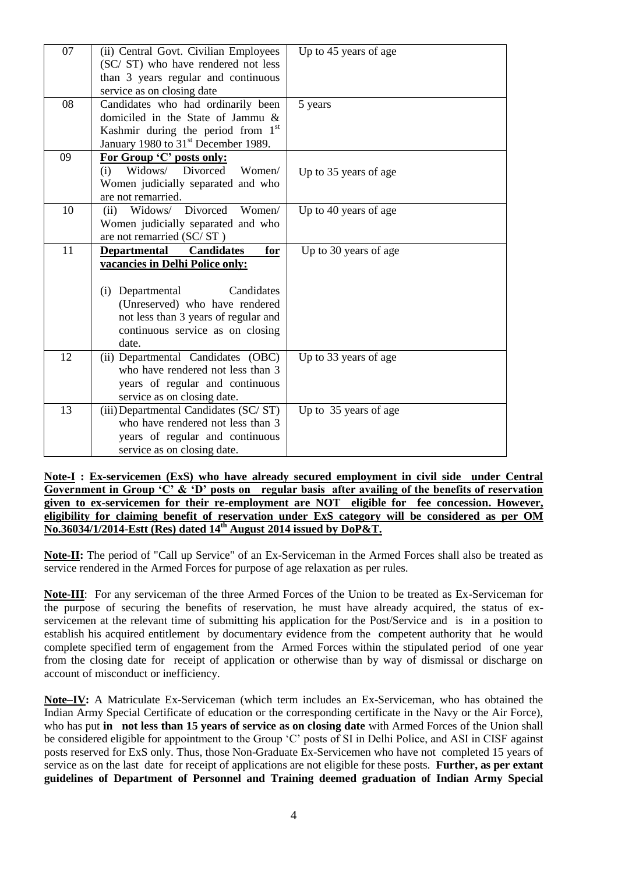| 07 | (ii) Central Govt. Civilian Employees           | Up to 45 years of age |
|----|-------------------------------------------------|-----------------------|
|    | (SC/ST) who have rendered not less              |                       |
|    | than 3 years regular and continuous             |                       |
|    | service as on closing date                      |                       |
| 08 | Candidates who had ordinarily been              | 5 years               |
|    | domiciled in the State of Jammu &               |                       |
|    | Kashmir during the period from 1 <sup>st</sup>  |                       |
|    | January 1980 to 31 <sup>st</sup> December 1989. |                       |
| 09 | For Group 'C' posts only:                       |                       |
|    | Widows/ Divorced<br>Women/<br>(i)               | Up to 35 years of age |
|    | Women judicially separated and who              |                       |
|    | are not remarried.                              |                       |
| 10 | Widows/ Divorced Women/<br>(ii)                 | Up to 40 years of age |
|    | Women judicially separated and who              |                       |
|    | are not remarried (SC/ST)                       |                       |
| 11 | Departmental<br><b>Candidates</b><br>for        | Up to 30 years of age |
|    | vacancies in Delhi Police only:                 |                       |
|    |                                                 |                       |
|    | Candidates<br>(i) Departmental                  |                       |
|    | (Unreserved) who have rendered                  |                       |
|    | not less than 3 years of regular and            |                       |
|    | continuous service as on closing                |                       |
|    | date.                                           |                       |
| 12 | (ii) Departmental Candidates (OBC)              | Up to 33 years of age |
|    | who have rendered not less than 3               |                       |
|    | years of regular and continuous                 |                       |
|    | service as on closing date.                     |                       |
| 13 | (iii) Departmental Candidates (SC/ST)           | Up to 35 years of age |
|    | who have rendered not less than 3               |                       |
|    | years of regular and continuous                 |                       |
|    | service as on closing date.                     |                       |

**Note-I : Ex-servicemen (ExS) who have already secured employment in civil side under Central**  Government in Group 'C' & 'D' posts on regular basis after availing of the benefits of reservation **given to ex-servicemen for their re-employment are NOT eligible for fee concession. However, eligibility for claiming benefit of reservation under ExS category will be considered as per OM No.36034/1/2014-Estt (Res) dated 14th August 2014 issued by DoP&T.** 

**Note-II:** The period of "Call up Service" of an Ex-Serviceman in the Armed Forces shall also be treated as service rendered in the Armed Forces for purpose of age relaxation as per rules.

**Note-III**: For any serviceman of the three Armed Forces of the Union to be treated as Ex-Serviceman for the purpose of securing the benefits of reservation, he must have already acquired, the status of exservicemen at the relevant time of submitting his application for the Post/Service and is in a position to establish his acquired entitlement by documentary evidence from the competent authority that he would complete specified term of engagement from the Armed Forces within the stipulated period of one year from the closing date for receipt of application or otherwise than by way of dismissal or discharge on account of misconduct or inefficiency.

**Note–IV:** A Matriculate Ex-Serviceman (which term includes an Ex-Serviceman, who has obtained the Indian Army Special Certificate of education or the corresponding certificate in the Navy or the Air Force), who has put **in not less than 15 years of service as on closing date** with Armed Forces of the Union shall be considered eligible for appointment to the Group 'C' posts of SI in Delhi Police, and ASI in CISF against posts reserved for ExS only. Thus, those Non-Graduate Ex-Servicemen who have not completed 15 years of service as on the last date for receipt of applications are not eligible for these posts. **Further, as per extant guidelines of Department of Personnel and Training deemed graduation of Indian Army Special**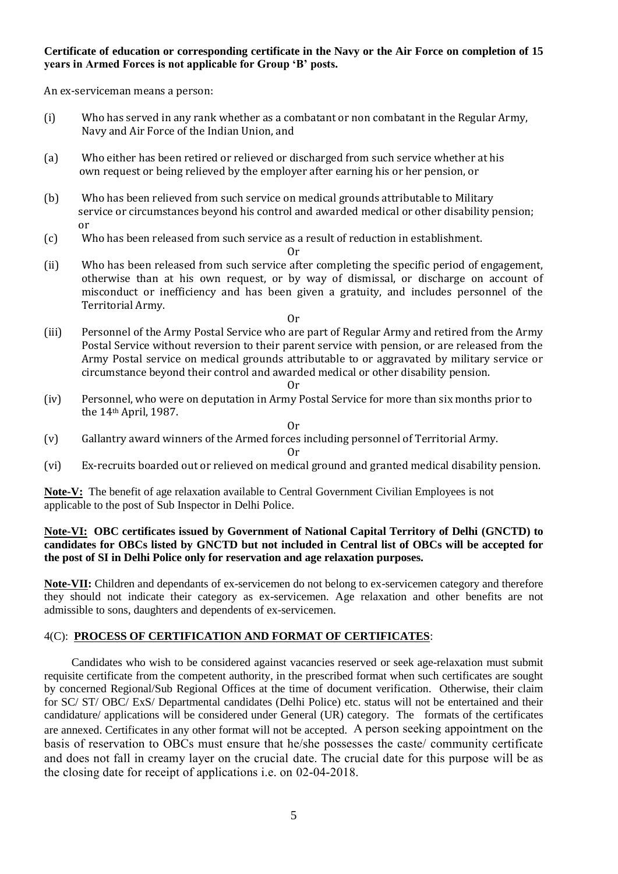### **Certificate of education or corresponding certificate in the Navy or the Air Force on completion of 15 years in Armed Forces is not applicable for Group "B" posts.**

An ex-serviceman means a person:

- (i) Who has served in any rank whether as a combatant or non combatant in the Regular Army, Navy and Air Force of the Indian Union, and
- (a) Who either has been retired or relieved or discharged from such service whether at his own request or being relieved by the employer after earning his or her pension, or
- (b) Who has been relieved from such service on medical grounds attributable to Military service or circumstances beyond his control and awarded medical or other disability pension; or
- (c) Who has been released from such service as a result of reduction in establishment.

Or

(ii) Who has been released from such service after completing the specific period of engagement, otherwise than at his own request, or by way of dismissal, or discharge on account of misconduct or inefficiency and has been given a gratuity, and includes personnel of the Territorial Army.

Or

(iii) Personnel of the Army Postal Service who are part of Regular Army and retired from the Army Postal Service without reversion to their parent service with pension, or are released from the Army Postal service on medical grounds attributable to or aggravated by military service or circumstance beyond their control and awarded medical or other disability pension.

Or

(iv) Personnel, who were on deputation in Army Postal Service for more than six months prior to the 14th April, 1987.

Or

(v) Gallantry award winners of the Armed forces including personnel of Territorial Army.

Or

(vi) Ex-recruits boarded out or relieved on medical ground and granted medical disability pension.

**Note-V:** The benefit of age relaxation available to Central Government Civilian Employees is not applicable to the post of Sub Inspector in Delhi Police.

### **Note-VI: OBC certificates issued by Government of National Capital Territory of Delhi (GNCTD) to candidates for OBCs listed by GNCTD but not included in Central list of OBCs will be accepted for the post of SI in Delhi Police only for reservation and age relaxation purposes.**

**Note-VII:** Children and dependants of ex-servicemen do not belong to ex-servicemen category and therefore they should not indicate their category as ex-servicemen. Age relaxation and other benefits are not admissible to sons, daughters and dependents of ex-servicemen.

### 4(C): **PROCESS OF CERTIFICATION AND FORMAT OF CERTIFICATES**:

Candidates who wish to be considered against vacancies reserved or seek age-relaxation must submit requisite certificate from the competent authority, in the prescribed format when such certificates are sought by concerned Regional/Sub Regional Offices at the time of document verification. Otherwise, their claim for SC/ ST/ OBC/ ExS/ Departmental candidates (Delhi Police) etc. status will not be entertained and their candidature/ applications will be considered under General (UR) category. The formats of the certificates are annexed. Certificates in any other format will not be accepted. A person seeking appointment on the basis of reservation to OBCs must ensure that he/she possesses the caste/ community certificate and does not fall in creamy layer on the crucial date. The crucial date for this purpose will be as the closing date for receipt of applications i.e. on 02-04-2018.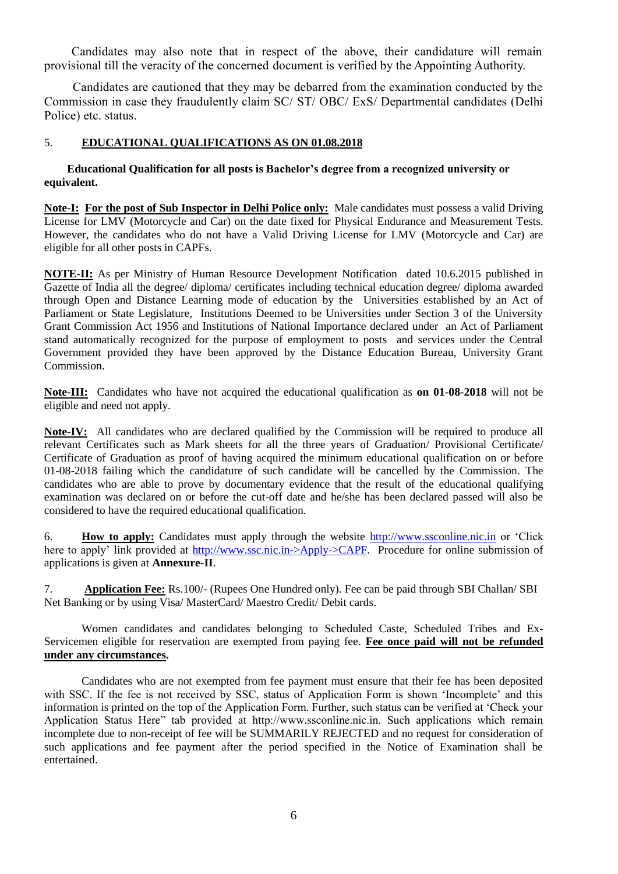Candidates may also note that in respect of the above, their candidature will remain provisional till the veracity of the concerned document is verified by the Appointing Authority.

 Candidates are cautioned that they may be debarred from the examination conducted by the Commission in case they fraudulently claim SC/ ST/ OBC/ ExS/ Departmental candidates (Delhi Police) etc. status.

# 5. **EDUCATIONAL QUALIFICATIONS AS ON 01.08.2018**

### **Educational Qualification for all posts is Bachelor"s degree from a recognized university or equivalent.**

**Note-I: For the post of Sub Inspector in Delhi Police only:** Male candidates must possess a valid Driving License for LMV (Motorcycle and Car) on the date fixed for Physical Endurance and Measurement Tests. However, the candidates who do not have a Valid Driving License for LMV (Motorcycle and Car) are eligible for all other posts in CAPFs.

**NOTE-II:** As per Ministry of Human Resource Development Notification dated 10.6.2015 published in Gazette of India all the degree/ diploma/ certificates including technical education degree/ diploma awarded through Open and Distance Learning mode of education by the Universities established by an Act of Parliament or State Legislature, Institutions Deemed to be Universities under Section 3 of the University Grant Commission Act 1956 and Institutions of National Importance declared under an Act of Parliament stand automatically recognized for the purpose of employment to posts and services under the Central Government provided they have been approved by the Distance Education Bureau, University Grant Commission.

**Note-III:** Candidates who have not acquired the educational qualification as **on 01-08-2018** will not be eligible and need not apply.

**Note-IV:** All candidates who are declared qualified by the Commission will be required to produce all relevant Certificates such as Mark sheets for all the three years of Graduation/ Provisional Certificate/ Certificate of Graduation as proof of having acquired the minimum educational qualification on or before 01-08-2018 failing which the candidature of such candidate will be cancelled by the Commission. The candidates who are able to prove by documentary evidence that the result of the educational qualifying examination was declared on or before the cut-off date and he/she has been declared passed will also be considered to have the required educational qualification.

6. **How to apply:** Candidates must apply through the website [http://www.ssconline.nic.in](http://www.ssconline.nic.in/) or "Click here to apply' link provided at http://www.ssc.nic.in->Apply->CAPF. Procedure for online submission of applications is given at **Annexure-II**.

7. **Application Fee:** Rs.100/- (Rupees One Hundred only). Fee can be paid through SBI Challan/ SBI Net Banking or by using Visa/ MasterCard/ Maestro Credit/ Debit cards.

Women candidates and candidates belonging to Scheduled Caste, Scheduled Tribes and Ex-Servicemen eligible for reservation are exempted from paying fee. **Fee once paid will not be refunded under any circumstances.** 

Candidates who are not exempted from fee payment must ensure that their fee has been deposited with SSC. If the fee is not received by SSC, status of Application Form is shown 'Incomplete' and this information is printed on the top of the Application Form. Further, such status can be verified at "Check your Application Status Here" tab provided at http://www.ssconline.nic.in. Such applications which remain incomplete due to non-receipt of fee will be SUMMARILY REJECTED and no request for consideration of such applications and fee payment after the period specified in the Notice of Examination shall be entertained.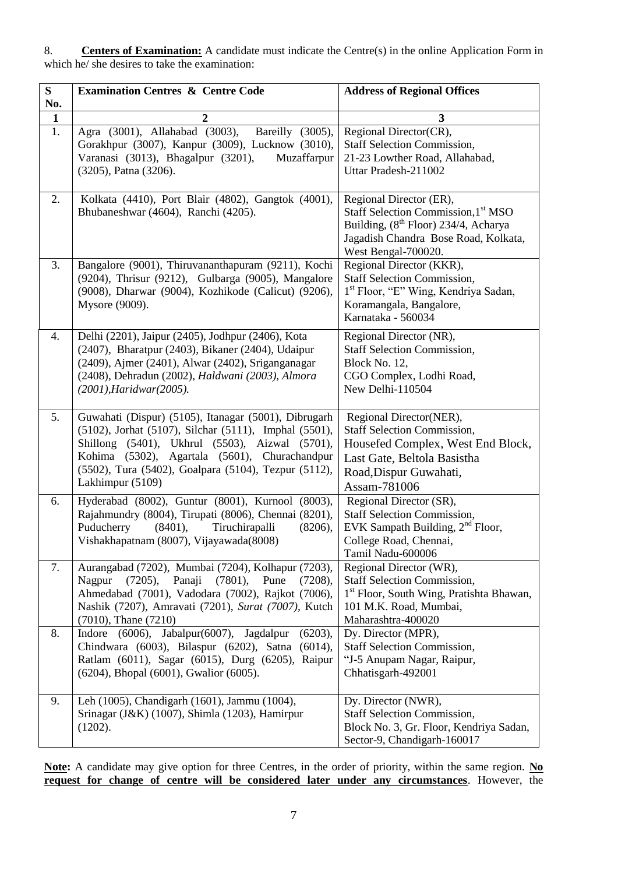8. **Centers of Examination:** A candidate must indicate the Centre(s) in the online Application Form in which he/ she desires to take the examination:

| ${\bf S}$<br>No. | <b>Examination Centres &amp; Centre Code</b>                                                                                                                                                                                                                                                 | <b>Address of Regional Offices</b>                                                                                                                                                |
|------------------|----------------------------------------------------------------------------------------------------------------------------------------------------------------------------------------------------------------------------------------------------------------------------------------------|-----------------------------------------------------------------------------------------------------------------------------------------------------------------------------------|
| $\mathbf{1}$     | $\overline{2}$                                                                                                                                                                                                                                                                               | 3                                                                                                                                                                                 |
| 1.               | Agra (3001), Allahabad (3003),<br>Bareilly (3005),<br>Gorakhpur (3007), Kanpur (3009), Lucknow (3010),<br>Varanasi (3013), Bhagalpur (3201),<br>Muzaffarpur<br>(3205), Patna (3206).                                                                                                         | Regional Director(CR),<br><b>Staff Selection Commission,</b><br>21-23 Lowther Road, Allahabad,<br>Uttar Pradesh-211002                                                            |
| 2.               | Kolkata (4410), Port Blair (4802), Gangtok (4001),<br>Bhubaneshwar (4604), Ranchi (4205).                                                                                                                                                                                                    | Regional Director (ER),<br>Staff Selection Commission, 1st MSO<br>Building, (8 <sup>th</sup> Floor) 234/4, Acharya<br>Jagadish Chandra Bose Road, Kolkata,<br>West Bengal-700020. |
| 3.               | Bangalore (9001), Thiruvananthapuram (9211), Kochi<br>(9204), Thrisur (9212), Gulbarga (9005), Mangalore<br>(9008), Dharwar (9004), Kozhikode (Calicut) (9206),<br>Mysore (9009).                                                                                                            | Regional Director (KKR),<br><b>Staff Selection Commission,</b><br>1 <sup>st</sup> Floor, "E" Wing, Kendriya Sadan,<br>Koramangala, Bangalore,<br>Karnataka - 560034               |
| 4.               | Delhi (2201), Jaipur (2405), Jodhpur (2406), Kota<br>(2407), Bharatpur (2403), Bikaner (2404), Udaipur<br>(2409), Ajmer (2401), Alwar (2402), Sriganganagar<br>(2408), Dehradun (2002), Haldwani (2003), Almora<br>(2001), Haridwar(2005).                                                   | Regional Director (NR),<br><b>Staff Selection Commission,</b><br>Block No. 12,<br>CGO Complex, Lodhi Road,<br>New Delhi-110504                                                    |
| 5.               | Guwahati (Dispur) (5105), Itanagar (5001), Dibrugarh<br>(5102), Jorhat (5107), Silchar (5111), Imphal (5501),<br>Shillong (5401), Ukhrul (5503), Aizwal (5701),<br>Kohima (5302), Agartala (5601), Churachandpur<br>(5502), Tura (5402), Goalpara (5104), Tezpur (5112),<br>Lakhimpur (5109) | Regional Director(NER),<br><b>Staff Selection Commission,</b><br>Housefed Complex, West End Block,<br>Last Gate, Beltola Basistha<br>Road, Dispur Guwahati,<br>Assam-781006       |
| 6.               | Hyderabad (8002), Guntur (8001), Kurnool (8003),<br>Rajahmundry (8004), Tirupati (8006), Chennai (8201),<br>Puducherry<br>Tiruchirapalli<br>(8401),<br>(8206),<br>Vishakhapatnam (8007), Vijayawada(8008)                                                                                    | Regional Director (SR),<br><b>Staff Selection Commission,</b><br>EVK Sampath Building, $2nd$ Floor,<br>College Road, Chennai,<br>Tamil Nadu-600006                                |
| 7.               | Aurangabad (7202), Mumbai (7204), Kolhapur (7203),<br>Nagpur<br>(7205), Panaji<br>$(7801)$ , Pune<br>(7208),<br>Ahmedabad (7001), Vadodara (7002), Rajkot (7006),<br>Nashik (7207), Amravati (7201), Surat (7007), Kutch<br>$(7010)$ , Thane $(7210)$                                        | Regional Director (WR),<br><b>Staff Selection Commission,</b><br>1 <sup>st</sup> Floor, South Wing, Pratishta Bhawan,<br>101 M.K. Road, Mumbai,<br>Maharashtra-400020             |
| 8.               | Indore (6006), Jabalpur(6007), Jagdalpur<br>(6203),<br>Chindwara (6003), Bilaspur (6202), Satna (6014),<br>Ratlam (6011), Sagar (6015), Durg (6205), Raipur<br>(6204), Bhopal (6001), Gwalior (6005).                                                                                        | Dy. Director (MPR),<br><b>Staff Selection Commission,</b><br>"J-5 Anupam Nagar, Raipur,<br>Chhatisgarh-492001                                                                     |
| 9.               | Leh (1005), Chandigarh (1601), Jammu (1004),<br>Srinagar (J&K) (1007), Shimla (1203), Hamirpur<br>(1202).                                                                                                                                                                                    | Dy. Director (NWR),<br><b>Staff Selection Commission,</b><br>Block No. 3, Gr. Floor, Kendriya Sadan,<br>Sector-9, Chandigarh-160017                                               |

**Note:** A candidate may give option for three Centres, in the order of priority, within the same region. **No request for change of centre will be considered later under any circumstances**. However, the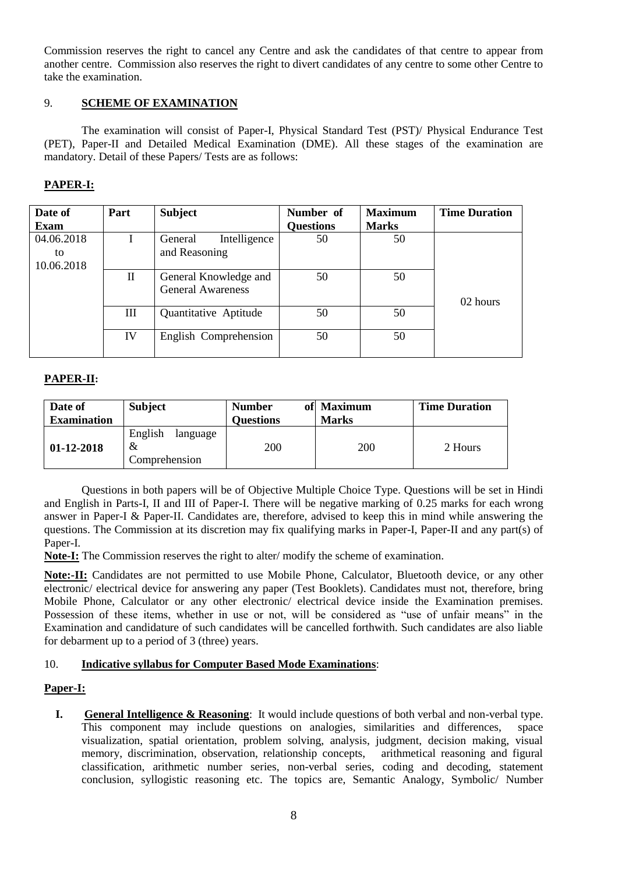Commission reserves the right to cancel any Centre and ask the candidates of that centre to appear from another centre. Commission also reserves the right to divert candidates of any centre to some other Centre to take the examination.

### 9. **SCHEME OF EXAMINATION**

The examination will consist of Paper-I, Physical Standard Test (PST)/ Physical Endurance Test (PET), Paper-II and Detailed Medical Examination (DME). All these stages of the examination are mandatory. Detail of these Papers/ Tests are as follows:

# **PAPER-I:**

| Date of                        | Part         | <b>Subject</b>                                    | Number of        | <b>Maximum</b> | <b>Time Duration</b> |
|--------------------------------|--------------|---------------------------------------------------|------------------|----------------|----------------------|
| <b>Exam</b>                    |              |                                                   | <b>Questions</b> | <b>Marks</b>   |                      |
| 04.06.2018<br>to<br>10.06.2018 |              | Intelligence<br>General<br>and Reasoning          | 50               | 50             |                      |
|                                | $\mathbf{I}$ | General Knowledge and<br><b>General Awareness</b> | 50               | 50             | 02 hours             |
|                                | Ш            | Quantitative Aptitude                             | 50               | 50             |                      |
|                                | IV           | English Comprehension                             | 50               | 50             |                      |

### **PAPER-II:**

| Date of<br><b>Examination</b> | <b>Subject</b>                            | <b>Number</b><br><b>Questions</b> | of Maximum<br><b>Marks</b> | <b>Time Duration</b> |
|-------------------------------|-------------------------------------------|-----------------------------------|----------------------------|----------------------|
| $01-12-2018$                  | English<br>language<br>&<br>Comprehension | 200                               | 200                        | 2 Hours              |

Questions in both papers will be of Objective Multiple Choice Type. Questions will be set in Hindi and English in Parts-I, II and III of Paper-I. There will be negative marking of 0.25 marks for each wrong answer in Paper-I & Paper-II. Candidates are, therefore, advised to keep this in mind while answering the questions. The Commission at its discretion may fix qualifying marks in Paper-I, Paper-II and any part(s) of Paper-I.

**Note-I:** The Commission reserves the right to alter/ modify the scheme of examination.

**Note:-II:** Candidates are not permitted to use Mobile Phone, Calculator, Bluetooth device, or any other electronic/ electrical device for answering any paper (Test Booklets). Candidates must not, therefore, bring Mobile Phone, Calculator or any other electronic/ electrical device inside the Examination premises. Possession of these items, whether in use or not, will be considered as "use of unfair means" in the Examination and candidature of such candidates will be cancelled forthwith. Such candidates are also liable for debarment up to a period of 3 (three) years.

### 10. **Indicative syllabus for Computer Based Mode Examinations**:

### **Paper-I:**

**I. General Intelligence & Reasoning**: It would include questions of both verbal and non-verbal type. This component may include questions on analogies, similarities and differences, space visualization, spatial orientation, problem solving, analysis, judgment, decision making, visual memory, discrimination, observation, relationship concepts, arithmetical reasoning and figural classification, arithmetic number series, non-verbal series, coding and decoding, statement conclusion, syllogistic reasoning etc. The topics are, Semantic Analogy, Symbolic/ Number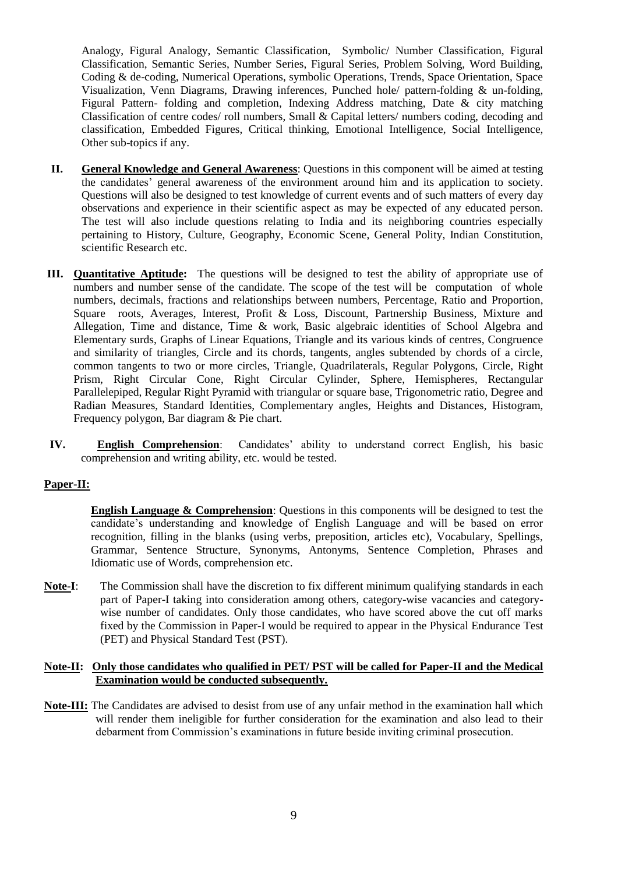Analogy, Figural Analogy, Semantic Classification, Symbolic/ Number Classification, Figural Classification, Semantic Series, Number Series, Figural Series, Problem Solving, Word Building, Coding & de-coding, Numerical Operations, symbolic Operations, Trends, Space Orientation, Space Visualization, Venn Diagrams, Drawing inferences, Punched hole/ pattern-folding & un-folding, Figural Pattern- folding and completion, Indexing Address matching, Date & city matching Classification of centre codes/ roll numbers, Small & Capital letters/ numbers coding, decoding and classification, Embedded Figures, Critical thinking, Emotional Intelligence, Social Intelligence, Other sub-topics if any.

- **II. General Knowledge and General Awareness**: Questions in this component will be aimed at testing the candidates" general awareness of the environment around him and its application to society. Questions will also be designed to test knowledge of current events and of such matters of every day observations and experience in their scientific aspect as may be expected of any educated person. The test will also include questions relating to India and its neighboring countries especially pertaining to History, Culture, Geography, Economic Scene, General Polity, Indian Constitution, scientific Research etc.
- **III. Quantitative Aptitude:** The questions will be designed to test the ability of appropriate use of numbers and number sense of the candidate. The scope of the test will be computation of whole numbers, decimals, fractions and relationships between numbers, Percentage, Ratio and Proportion, Square roots, Averages, Interest, Profit & Loss, Discount, Partnership Business, Mixture and Allegation, Time and distance, Time & work, Basic algebraic identities of School Algebra and Elementary surds, Graphs of Linear Equations, Triangle and its various kinds of centres, Congruence and similarity of triangles, Circle and its chords, tangents, angles subtended by chords of a circle, common tangents to two or more circles, Triangle, Quadrilaterals, Regular Polygons, Circle, Right Prism, Right Circular Cone, Right Circular Cylinder, Sphere, Hemispheres, Rectangular Parallelepiped, Regular Right Pyramid with triangular or square base, Trigonometric ratio, Degree and Radian Measures, Standard Identities, Complementary angles, Heights and Distances, Histogram, Frequency polygon, Bar diagram & Pie chart.
- **IV.** English Comprehension: Candidates' ability to understand correct English, his basic comprehension and writing ability, etc. would be tested.

#### **Paper-II:**

**English Language & Comprehension**: Questions in this components will be designed to test the candidate"s understanding and knowledge of English Language and will be based on error recognition, filling in the blanks (using verbs, preposition, articles etc), Vocabulary, Spellings, Grammar, Sentence Structure, Synonyms, Antonyms, Sentence Completion, Phrases and Idiomatic use of Words, comprehension etc.

**Note-I**: The Commission shall have the discretion to fix different minimum qualifying standards in each part of Paper-I taking into consideration among others, category-wise vacancies and categorywise number of candidates. Only those candidates, who have scored above the cut off marks fixed by the Commission in Paper-I would be required to appear in the Physical Endurance Test (PET) and Physical Standard Test (PST).

#### **Note-II: Only those candidates who qualified in PET/ PST will be called for Paper-II and the Medical Examination would be conducted subsequently.**

**Note-III:** The Candidates are advised to desist from use of any unfair method in the examination hall which will render them ineligible for further consideration for the examination and also lead to their debarment from Commission"s examinations in future beside inviting criminal prosecution.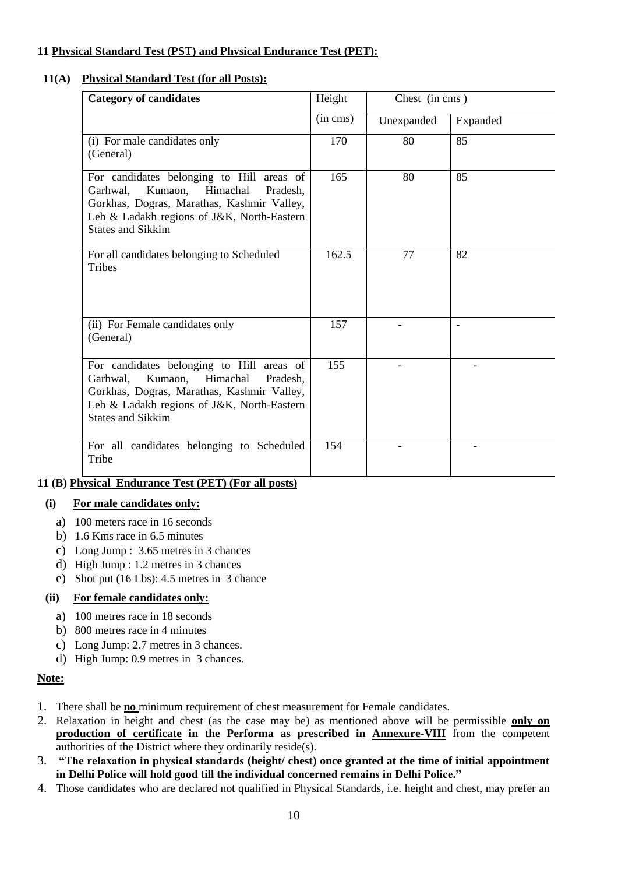# **11 Physical Standard Test (PST) and Physical Endurance Test (PET):**

## **11(A) Physical Standard Test (for all Posts):**

| <b>Category of candidates</b>                                                                                                                                                                                    | Height        | Chest (in cms) |          |
|------------------------------------------------------------------------------------------------------------------------------------------------------------------------------------------------------------------|---------------|----------------|----------|
|                                                                                                                                                                                                                  | $(in \, cms)$ | Unexpanded     | Expanded |
| (i) For male candidates only<br>(General)                                                                                                                                                                        | 170           | 80             | 85       |
| For candidates belonging to Hill areas of<br>Kumaon,<br>Himachal<br>Garhwal,<br>Pradesh,<br>Gorkhas, Dogras, Marathas, Kashmir Valley,<br>Leh & Ladakh regions of J&K, North-Eastern<br><b>States and Sikkim</b> | 165           | 80             | 85       |
| For all candidates belonging to Scheduled<br><b>Tribes</b>                                                                                                                                                       | 162.5         | 77             | 82       |
| (ii) For Female candidates only<br>(General)                                                                                                                                                                     | 157           |                |          |
| For candidates belonging to Hill areas of<br>Himachal<br>Garhwal,<br>Kumaon,<br>Pradesh,<br>Gorkhas, Dogras, Marathas, Kashmir Valley,<br>Leh & Ladakh regions of J&K, North-Eastern<br><b>States and Sikkim</b> | 155           |                |          |
| For all candidates belonging to Scheduled<br>Tribe                                                                                                                                                               | 154           |                |          |

# **11 (B) Physical Endurance Test (PET) (For all posts)**

### **(i) For male candidates only:**

- a) 100 meters race in 16 seconds
- b) 1.6 Kms race in 6.5 minutes
- c) Long Jump : 3.65 metres in 3 chances
- d) High Jump : 1.2 metres in 3 chances
- e) Shot put (16 Lbs): 4.5 metres in 3 chance

### **(ii) For female candidates only:**

- a) 100 metres race in 18 seconds
- b) 800 metres race in 4 minutes
- c) Long Jump: 2.7 metres in 3 chances.
- d) High Jump: 0.9 metres in 3 chances.

#### **Note:**

- 1. There shall be **no** minimum requirement of chest measurement for Female candidates.
- 2. Relaxation in height and chest (as the case may be) as mentioned above will be permissible **only on production of certificate in the Performa as prescribed in Annexure-VIII** from the competent authorities of the District where they ordinarily reside(s).
- 3. **"The relaxation in physical standards (height/ chest) once granted at the time of initial appointment in Delhi Police will hold good till the individual concerned remains in Delhi Police."**
- 4. Those candidates who are declared not qualified in Physical Standards, i.e. height and chest, may prefer an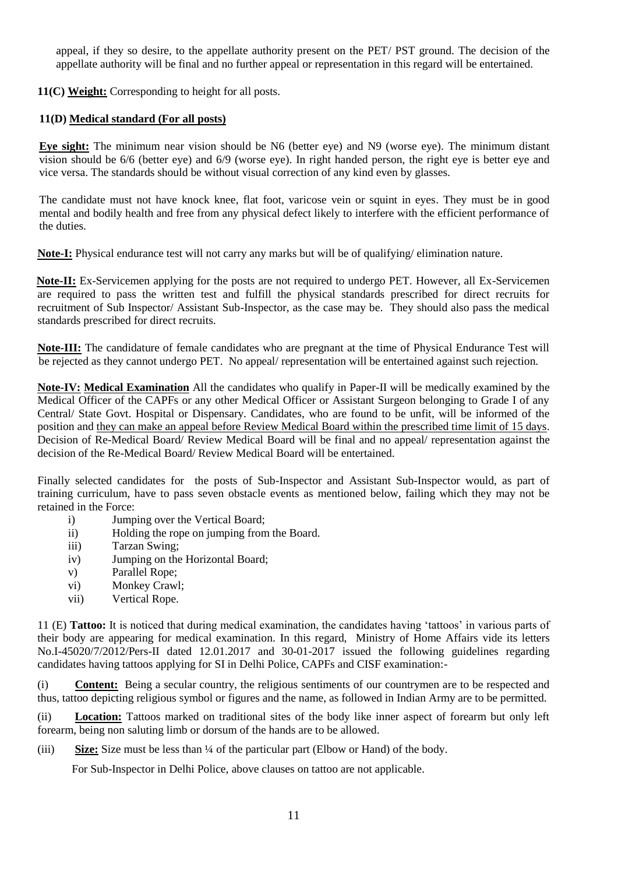appeal, if they so desire, to the appellate authority present on the PET/ PST ground. The decision of the appellate authority will be final and no further appeal or representation in this regard will be entertained.

**11(C) Weight:** Corresponding to height for all posts.

# **11(D) Medical standard (For all posts)**

**Eye sight:** The minimum near vision should be N6 (better eye) and N9 (worse eye). The minimum distant vision should be 6/6 (better eye) and 6/9 (worse eye). In right handed person, the right eye is better eye and vice versa. The standards should be without visual correction of any kind even by glasses.

The candidate must not have knock knee, flat foot, varicose vein or squint in eyes. They must be in good mental and bodily health and free from any physical defect likely to interfere with the efficient performance of the duties.

**Note-I:** Physical endurance test will not carry any marks but will be of qualifying/ elimination nature.

**Note-II:** Ex-Servicemen applying for the posts are not required to undergo PET. However, all Ex-Servicemen are required to pass the written test and fulfill the physical standards prescribed for direct recruits for recruitment of Sub Inspector/ Assistant Sub-Inspector, as the case may be. They should also pass the medical standards prescribed for direct recruits.

**Note-III:** The candidature of female candidates who are pregnant at the time of Physical Endurance Test will be rejected as they cannot undergo PET. No appeal/ representation will be entertained against such rejection.

**Note-IV: Medical Examination** All the candidates who qualify in Paper-II will be medically examined by the Medical Officer of the CAPFs or any other Medical Officer or Assistant Surgeon belonging to Grade I of any Central/ State Govt. Hospital or Dispensary. Candidates, who are found to be unfit, will be informed of the position and they can make an appeal before Review Medical Board within the prescribed time limit of 15 days. Decision of Re-Medical Board/ Review Medical Board will be final and no appeal/ representation against the decision of the Re-Medical Board/ Review Medical Board will be entertained.

Finally selected candidates for the posts of Sub-Inspector and Assistant Sub-Inspector would, as part of training curriculum, have to pass seven obstacle events as mentioned below, failing which they may not be retained in the Force:

- i) Jumping over the Vertical Board;
- ii) Holding the rope on jumping from the Board.
- iii) Tarzan Swing;
- iv) Jumping on the Horizontal Board;
- v) Parallel Rope;
- vi) Monkey Crawl;
- vii) Vertical Rope.

11 (E) **Tattoo:** It is noticed that during medical examination, the candidates having "tattoos" in various parts of their body are appearing for medical examination. In this regard, Ministry of Home Affairs vide its letters No.I-45020/7/2012/Pers-II dated 12.01.2017 and 30-01-2017 issued the following guidelines regarding candidates having tattoos applying for SI in Delhi Police, CAPFs and CISF examination:-

(i) **Content:** Being a secular country, the religious sentiments of our countrymen are to be respected and thus, tattoo depicting religious symbol or figures and the name, as followed in Indian Army are to be permitted.

(ii) **Location:** Tattoos marked on traditional sites of the body like inner aspect of forearm but only left forearm, being non saluting limb or dorsum of the hands are to be allowed.

(iii) **Size:** Size must be less than ¼ of the particular part (Elbow or Hand) of the body.

For Sub-Inspector in Delhi Police, above clauses on tattoo are not applicable.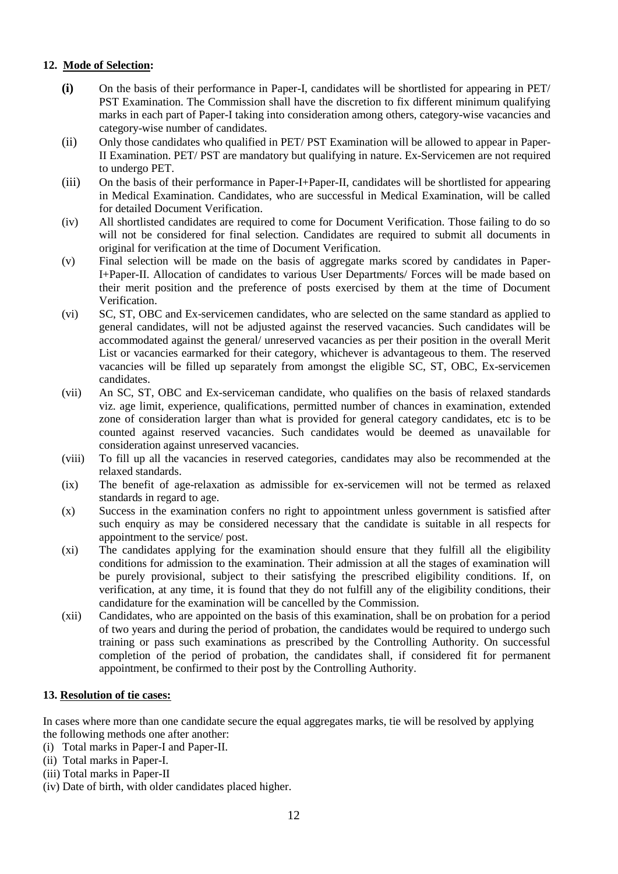### **12. Mode of Selection:**

- **(i)** On the basis of their performance in Paper-I, candidates will be shortlisted for appearing in PET/ PST Examination. The Commission shall have the discretion to fix different minimum qualifying marks in each part of Paper-I taking into consideration among others, category-wise vacancies and category-wise number of candidates.
- (ii) Only those candidates who qualified in PET/ PST Examination will be allowed to appear in Paper-II Examination. PET/ PST are mandatory but qualifying in nature. Ex-Servicemen are not required to undergo PET.
- (iii) On the basis of their performance in Paper-I+Paper-II, candidates will be shortlisted for appearing in Medical Examination. Candidates, who are successful in Medical Examination, will be called for detailed Document Verification.
- (iv) All shortlisted candidates are required to come for Document Verification. Those failing to do so will not be considered for final selection. Candidates are required to submit all documents in original for verification at the time of Document Verification.
- (v) Final selection will be made on the basis of aggregate marks scored by candidates in Paper-I+Paper-II. Allocation of candidates to various User Departments/ Forces will be made based on their merit position and the preference of posts exercised by them at the time of Document Verification.
- (vi) SC, ST, OBC and Ex-servicemen candidates, who are selected on the same standard as applied to general candidates, will not be adjusted against the reserved vacancies. Such candidates will be accommodated against the general/ unreserved vacancies as per their position in the overall Merit List or vacancies earmarked for their category, whichever is advantageous to them. The reserved vacancies will be filled up separately from amongst the eligible SC, ST, OBC, Ex-servicemen candidates.
- (vii) An SC, ST, OBC and Ex-serviceman candidate, who qualifies on the basis of relaxed standards viz. age limit, experience, qualifications, permitted number of chances in examination, extended zone of consideration larger than what is provided for general category candidates, etc is to be counted against reserved vacancies. Such candidates would be deemed as unavailable for consideration against unreserved vacancies.
- (viii) To fill up all the vacancies in reserved categories, candidates may also be recommended at the relaxed standards.
- (ix) The benefit of age-relaxation as admissible for ex-servicemen will not be termed as relaxed standards in regard to age.
- (x) Success in the examination confers no right to appointment unless government is satisfied after such enquiry as may be considered necessary that the candidate is suitable in all respects for appointment to the service/ post.
- (xi) The candidates applying for the examination should ensure that they fulfill all the eligibility conditions for admission to the examination. Their admission at all the stages of examination will be purely provisional, subject to their satisfying the prescribed eligibility conditions. If, on verification, at any time, it is found that they do not fulfill any of the eligibility conditions, their candidature for the examination will be cancelled by the Commission.
- (xii) Candidates, who are appointed on the basis of this examination, shall be on probation for a period of two years and during the period of probation, the candidates would be required to undergo such training or pass such examinations as prescribed by the Controlling Authority. On successful completion of the period of probation, the candidates shall, if considered fit for permanent appointment, be confirmed to their post by the Controlling Authority.

#### **13. Resolution of tie cases:**

In cases where more than one candidate secure the equal aggregates marks, tie will be resolved by applying the following methods one after another:

- (i) Total marks in Paper-I and Paper-II.
- (ii) Total marks in Paper-I.
- (iii) Total marks in Paper-II
- (iv) Date of birth, with older candidates placed higher.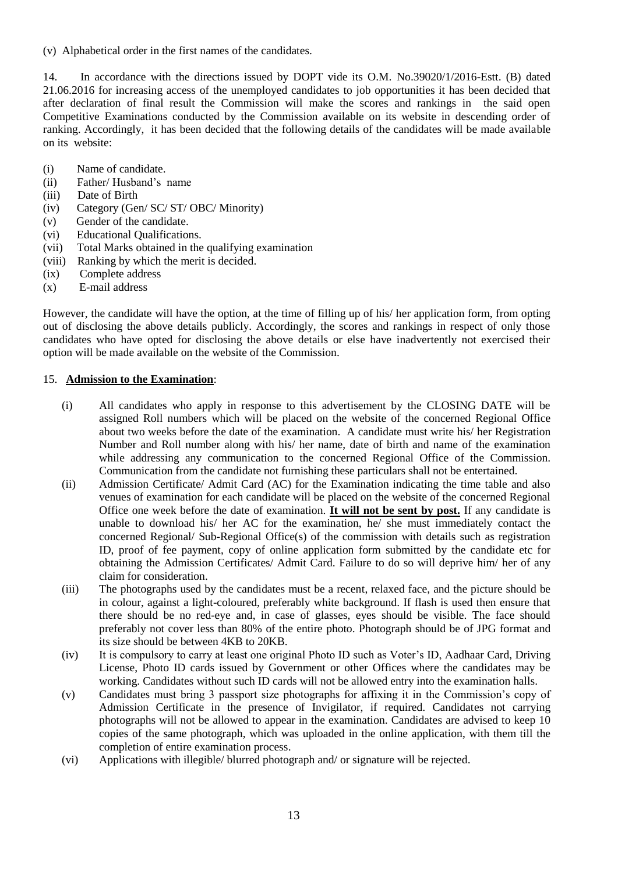(v) Alphabetical order in the first names of the candidates.

14. In accordance with the directions issued by DOPT vide its O.M. No.39020/1/2016-Estt. (B) dated 21.06.2016 for increasing access of the unemployed candidates to job opportunities it has been decided that after declaration of final result the Commission will make the scores and rankings in the said open Competitive Examinations conducted by the Commission available on its website in descending order of ranking. Accordingly, it has been decided that the following details of the candidates will be made available on its website:

- (i) Name of candidate.
- (ii) Father/ Husband"s name
- (iii) Date of Birth
- (iv) Category (Gen/ SC/ ST/ OBC/ Minority)
- (v) Gender of the candidate.
- (vi) Educational Qualifications.
- (vii) Total Marks obtained in the qualifying examination
- (viii) Ranking by which the merit is decided.
- (ix) Complete address
- (x) E-mail address

However, the candidate will have the option, at the time of filling up of his/ her application form, from opting out of disclosing the above details publicly. Accordingly, the scores and rankings in respect of only those candidates who have opted for disclosing the above details or else have inadvertently not exercised their option will be made available on the website of the Commission.

#### 15. **Admission to the Examination**:

- (i) All candidates who apply in response to this advertisement by the CLOSING DATE will be assigned Roll numbers which will be placed on the website of the concerned Regional Office about two weeks before the date of the examination. A candidate must write his/ her Registration Number and Roll number along with his/ her name, date of birth and name of the examination while addressing any communication to the concerned Regional Office of the Commission. Communication from the candidate not furnishing these particulars shall not be entertained.
- (ii) Admission Certificate/ Admit Card (AC) for the Examination indicating the time table and also venues of examination for each candidate will be placed on the website of the concerned Regional Office one week before the date of examination. **It will not be sent by post.** If any candidate is unable to download his/ her AC for the examination, he/ she must immediately contact the concerned Regional/ Sub-Regional Office(s) of the commission with details such as registration ID, proof of fee payment, copy of online application form submitted by the candidate etc for obtaining the Admission Certificates/ Admit Card. Failure to do so will deprive him/ her of any claim for consideration.
- (iii) The photographs used by the candidates must be a recent, relaxed face, and the picture should be in colour, against a light-coloured, preferably white background. If flash is used then ensure that there should be no red-eye and, in case of glasses, eyes should be visible. The face should preferably not cover less than 80% of the entire photo. Photograph should be of JPG format and its size should be between 4KB to 20KB.
- (iv) It is compulsory to carry at least one original Photo ID such as Voter"s ID, Aadhaar Card, Driving License, Photo ID cards issued by Government or other Offices where the candidates may be working. Candidates without such ID cards will not be allowed entry into the examination halls.
- (v) Candidates must bring 3 passport size photographs for affixing it in the Commission"s copy of Admission Certificate in the presence of Invigilator, if required. Candidates not carrying photographs will not be allowed to appear in the examination. Candidates are advised to keep 10 copies of the same photograph, which was uploaded in the online application, with them till the completion of entire examination process.
- (vi) Applications with illegible/ blurred photograph and/ or signature will be rejected.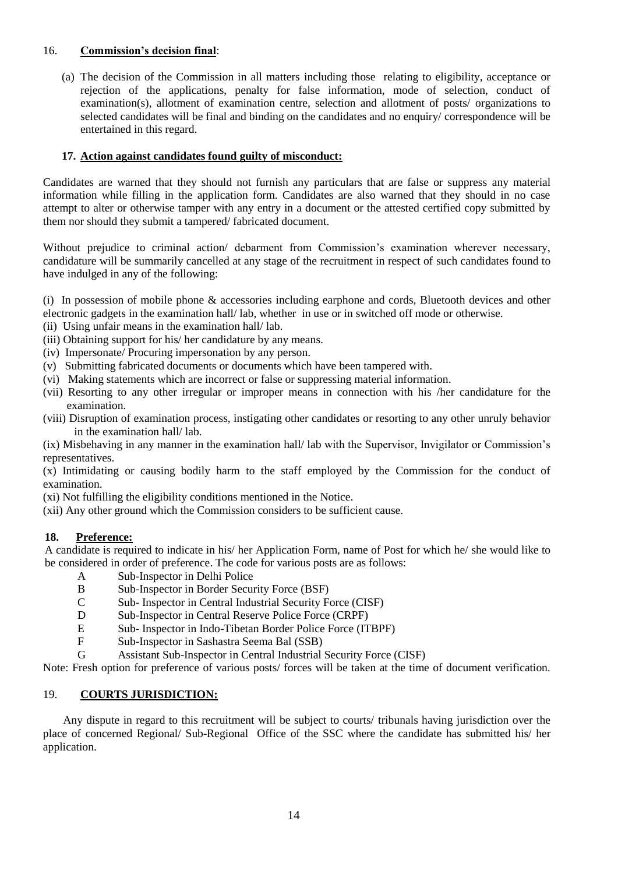### 16. **Commission"s decision final**:

(a) The decision of the Commission in all matters including those relating to eligibility, acceptance or rejection of the applications, penalty for false information, mode of selection, conduct of examination(s), allotment of examination centre, selection and allotment of posts/ organizations to selected candidates will be final and binding on the candidates and no enquiry/ correspondence will be entertained in this regard.

### **17. Action against candidates found guilty of misconduct:**

Candidates are warned that they should not furnish any particulars that are false or suppress any material information while filling in the application form. Candidates are also warned that they should in no case attempt to alter or otherwise tamper with any entry in a document or the attested certified copy submitted by them nor should they submit a tampered/ fabricated document.

Without prejudice to criminal action/ debarment from Commission's examination wherever necessary, candidature will be summarily cancelled at any stage of the recruitment in respect of such candidates found to have indulged in any of the following:

(i) In possession of mobile phone & accessories including earphone and cords, Bluetooth devices and other electronic gadgets in the examination hall/ lab, whether in use or in switched off mode or otherwise.

- (ii) Using unfair means in the examination hall/ lab.
- (iii) Obtaining support for his/ her candidature by any means.
- (iv) Impersonate/ Procuring impersonation by any person.
- (v) Submitting fabricated documents or documents which have been tampered with.
- (vi) Making statements which are incorrect or false or suppressing material information.
- (vii) Resorting to any other irregular or improper means in connection with his /her candidature for the examination.
- (viii) Disruption of examination process, instigating other candidates or resorting to any other unruly behavior in the examination hall/ lab.

(ix) Misbehaving in any manner in the examination hall/ lab with the Supervisor, Invigilator or Commission"s representatives.

(x) Intimidating or causing bodily harm to the staff employed by the Commission for the conduct of examination.

(xi) Not fulfilling the eligibility conditions mentioned in the Notice.

(xii) Any other ground which the Commission considers to be sufficient cause.

#### **18. Preference:**

A candidate is required to indicate in his/ her Application Form, name of Post for which he/ she would like to be considered in order of preference. The code for various posts are as follows:

- A Sub-Inspector in Delhi Police
- B Sub-Inspector in Border Security Force (BSF)
- C Sub- Inspector in Central Industrial Security Force (CISF)
- D Sub-Inspector in Central Reserve Police Force (CRPF)
- E Sub- Inspector in Indo-Tibetan Border Police Force (ITBPF)
- F Sub-Inspector in Sashastra Seema Bal (SSB)
- G Assistant Sub-Inspector in Central Industrial Security Force (CISF)

Note: Fresh option for preference of various posts/ forces will be taken at the time of document verification.

### 19. **COURTS JURISDICTION:**

 Any dispute in regard to this recruitment will be subject to courts/ tribunals having jurisdiction over the place of concerned Regional/ Sub-Regional Office of the SSC where the candidate has submitted his/ her application.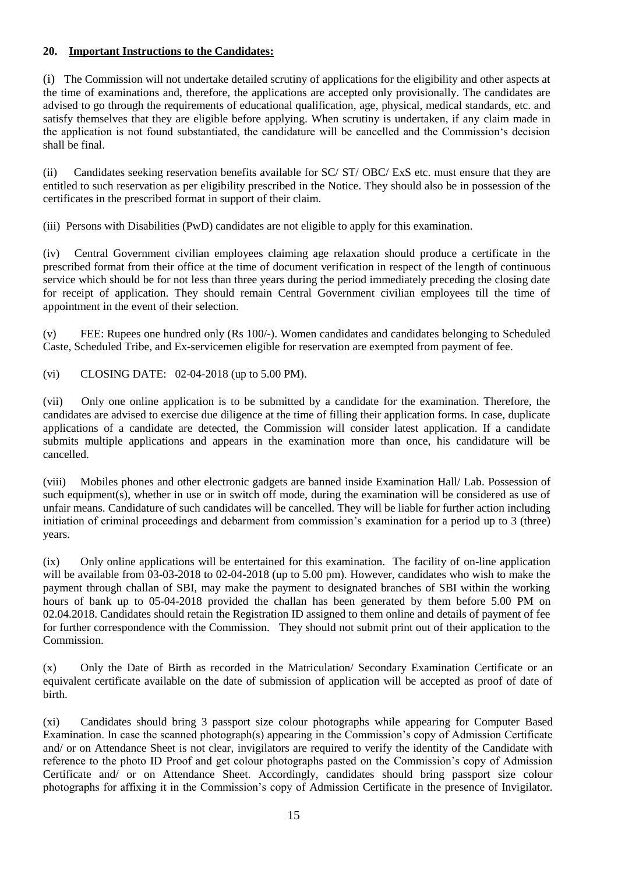### **20. Important Instructions to the Candidates:**

(i) The Commission will not undertake detailed scrutiny of applications for the eligibility and other aspects at the time of examinations and, therefore, the applications are accepted only provisionally. The candidates are advised to go through the requirements of educational qualification, age, physical, medical standards, etc. and satisfy themselves that they are eligible before applying. When scrutiny is undertaken, if any claim made in the application is not found substantiated, the candidature will be cancelled and the Commission"s decision shall be final.

(ii) Candidates seeking reservation benefits available for SC/ ST/ OBC/ ExS etc. must ensure that they are entitled to such reservation as per eligibility prescribed in the Notice. They should also be in possession of the certificates in the prescribed format in support of their claim.

(iii) Persons with Disabilities (PwD) candidates are not eligible to apply for this examination.

(iv) Central Government civilian employees claiming age relaxation should produce a certificate in the prescribed format from their office at the time of document verification in respect of the length of continuous service which should be for not less than three years during the period immediately preceding the closing date for receipt of application. They should remain Central Government civilian employees till the time of appointment in the event of their selection.

(v) FEE: Rupees one hundred only (Rs 100/-). Women candidates and candidates belonging to Scheduled Caste, Scheduled Tribe, and Ex-servicemen eligible for reservation are exempted from payment of fee.

(vi) CLOSING DATE: 02-04-2018 (up to 5.00 PM).

(vii) Only one online application is to be submitted by a candidate for the examination. Therefore, the candidates are advised to exercise due diligence at the time of filling their application forms. In case, duplicate applications of a candidate are detected, the Commission will consider latest application. If a candidate submits multiple applications and appears in the examination more than once, his candidature will be cancelled.

(viii) Mobiles phones and other electronic gadgets are banned inside Examination Hall/ Lab. Possession of such equipment(s), whether in use or in switch off mode, during the examination will be considered as use of unfair means. Candidature of such candidates will be cancelled. They will be liable for further action including initiation of criminal proceedings and debarment from commission's examination for a period up to 3 (three) years.

(ix) Only online applications will be entertained for this examination. The facility of on-line application will be available from 03-03-2018 to 02-04-2018 (up to 5.00 pm). However, candidates who wish to make the payment through challan of SBI, may make the payment to designated branches of SBI within the working hours of bank up to 05-04-2018 provided the challan has been generated by them before 5.00 PM on 02.04.2018. Candidates should retain the Registration ID assigned to them online and details of payment of fee for further correspondence with the Commission. They should not submit print out of their application to the Commission.

(x) Only the Date of Birth as recorded in the Matriculation/ Secondary Examination Certificate or an equivalent certificate available on the date of submission of application will be accepted as proof of date of birth.

(xi) Candidates should bring 3 passport size colour photographs while appearing for Computer Based Examination. In case the scanned photograph(s) appearing in the Commission"s copy of Admission Certificate and/ or on Attendance Sheet is not clear, invigilators are required to verify the identity of the Candidate with reference to the photo ID Proof and get colour photographs pasted on the Commission"s copy of Admission Certificate and/ or on Attendance Sheet. Accordingly, candidates should bring passport size colour photographs for affixing it in the Commission"s copy of Admission Certificate in the presence of Invigilator.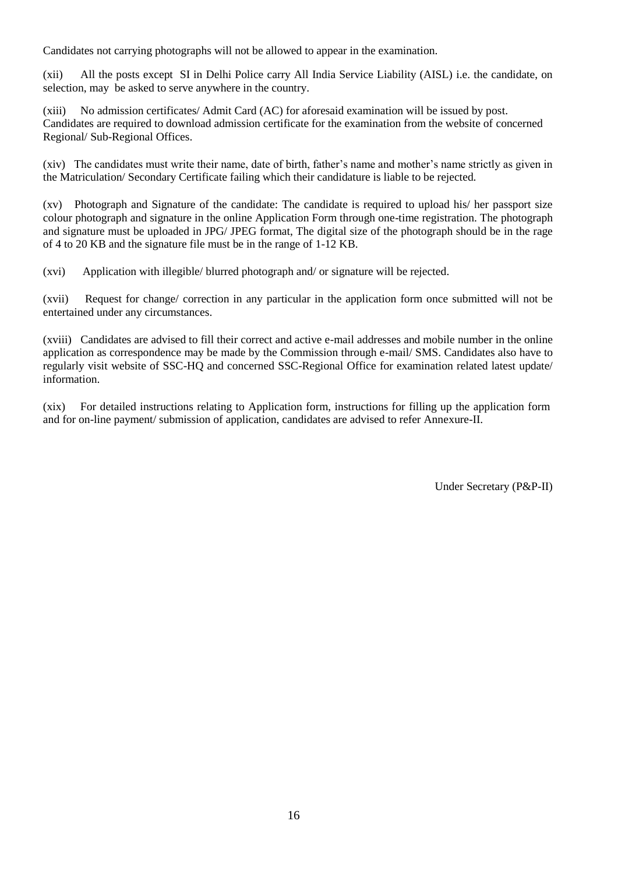Candidates not carrying photographs will not be allowed to appear in the examination.

(xii) All the posts except SI in Delhi Police carry All India Service Liability (AISL) i.e. the candidate, on selection, may be asked to serve anywhere in the country.

(xiii) No admission certificates/ Admit Card (AC) for aforesaid examination will be issued by post. Candidates are required to download admission certificate for the examination from the website of concerned Regional/ Sub-Regional Offices.

(xiv) The candidates must write their name, date of birth, father"s name and mother"s name strictly as given in the Matriculation/ Secondary Certificate failing which their candidature is liable to be rejected.

(xv) Photograph and Signature of the candidate: The candidate is required to upload his/ her passport size colour photograph and signature in the online Application Form through one-time registration. The photograph and signature must be uploaded in JPG/ JPEG format, The digital size of the photograph should be in the rage of 4 to 20 KB and the signature file must be in the range of 1-12 KB.

(xvi) Application with illegible/ blurred photograph and/ or signature will be rejected.

(xvii) Request for change/ correction in any particular in the application form once submitted will not be entertained under any circumstances.

(xviii) Candidates are advised to fill their correct and active e-mail addresses and mobile number in the online application as correspondence may be made by the Commission through e-mail/ SMS. Candidates also have to regularly visit website of SSC-HQ and concerned SSC-Regional Office for examination related latest update/ information.

(xix) For detailed instructions relating to Application form, instructions for filling up the application form and for on-line payment/ submission of application, candidates are advised to refer Annexure-II.

Under Secretary (P&P-II)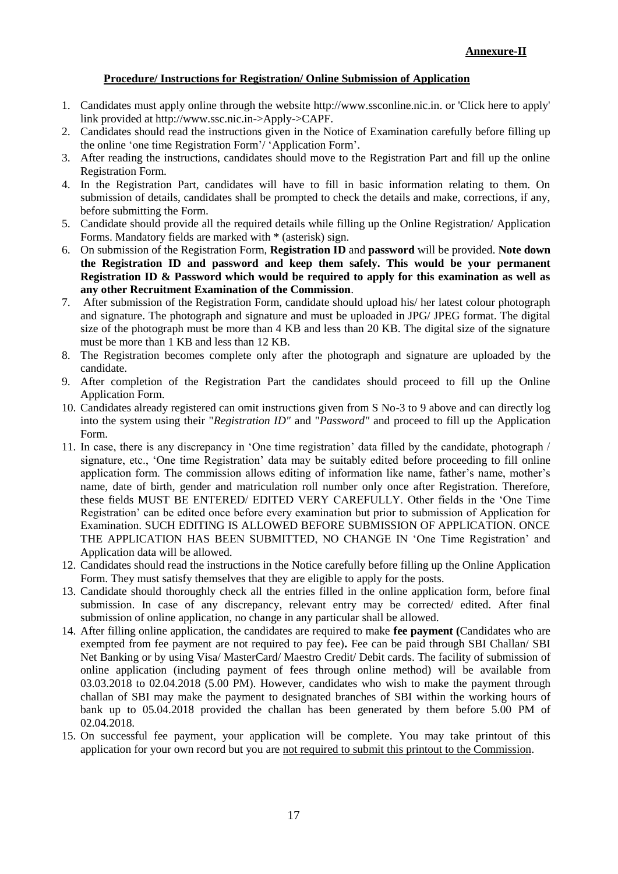### **Procedure/ Instructions for Registration/ Online Submission of Application**

- 1. Candidates must apply online through the website http://www.ssconline.nic.in. or 'Click here to apply' link provided at http://www.ssc.nic.in->Apply->CAPF.
- 2. Candidates should read the instructions given in the Notice of Examination carefully before filling up the online "one time Registration Form"/ "Application Form".
- 3. After reading the instructions, candidates should move to the Registration Part and fill up the online Registration Form.
- 4. In the Registration Part, candidates will have to fill in basic information relating to them. On submission of details, candidates shall be prompted to check the details and make, corrections, if any, before submitting the Form.
- 5. Candidate should provide all the required details while filling up the Online Registration/ Application Forms. Mandatory fields are marked with \* (asterisk) sign.
- 6. On submission of the Registration Form, **Registration ID** and **password** will be provided. **Note down the Registration ID and password and keep them safely. This would be your permanent Registration ID & Password which would be required to apply for this examination as well as any other Recruitment Examination of the Commission**.
- 7. After submission of the Registration Form, candidate should upload his/ her latest colour photograph and signature. The photograph and signature and must be uploaded in JPG/ JPEG format. The digital size of the photograph must be more than 4 KB and less than 20 KB. The digital size of the signature must be more than 1 KB and less than 12 KB.
- 8. The Registration becomes complete only after the photograph and signature are uploaded by the candidate.
- 9. After completion of the Registration Part the candidates should proceed to fill up the Online Application Form.
- 10. Candidates already registered can omit instructions given from S No-3 to 9 above and can directly log into the system using their "*Registration ID"* and "*Password"* and proceed to fill up the Application Form.
- 11. In case, there is any discrepancy in "One time registration" data filled by the candidate, photograph / signature, etc., "One time Registration" data may be suitably edited before proceeding to fill online application form. The commission allows editing of information like name, father"s name, mother"s name, date of birth, gender and matriculation roll number only once after Registration. Therefore, these fields MUST BE ENTERED/ EDITED VERY CAREFULLY. Other fields in the "One Time Registration" can be edited once before every examination but prior to submission of Application for Examination. SUCH EDITING IS ALLOWED BEFORE SUBMISSION OF APPLICATION. ONCE THE APPLICATION HAS BEEN SUBMITTED, NO CHANGE IN "One Time Registration" and Application data will be allowed.
- 12. Candidates should read the instructions in the Notice carefully before filling up the Online Application Form. They must satisfy themselves that they are eligible to apply for the posts.
- 13. Candidate should thoroughly check all the entries filled in the online application form, before final submission. In case of any discrepancy, relevant entry may be corrected/ edited. After final submission of online application, no change in any particular shall be allowed.
- 14. After filling online application, the candidates are required to make **fee payment (**Candidates who are exempted from fee payment are not required to pay fee)**.** Fee can be paid through SBI Challan/ SBI Net Banking or by using Visa/ MasterCard/ Maestro Credit/ Debit cards. The facility of submission of online application (including payment of fees through online method) will be available from 03.03.2018 to 02.04.2018 (5.00 PM). However, candidates who wish to make the payment through challan of SBI may make the payment to designated branches of SBI within the working hours of bank up to 05.04.2018 provided the challan has been generated by them before 5.00 PM of 02.04.2018.
- 15. On successful fee payment, your application will be complete. You may take printout of this application for your own record but you are not required to submit this printout to the Commission.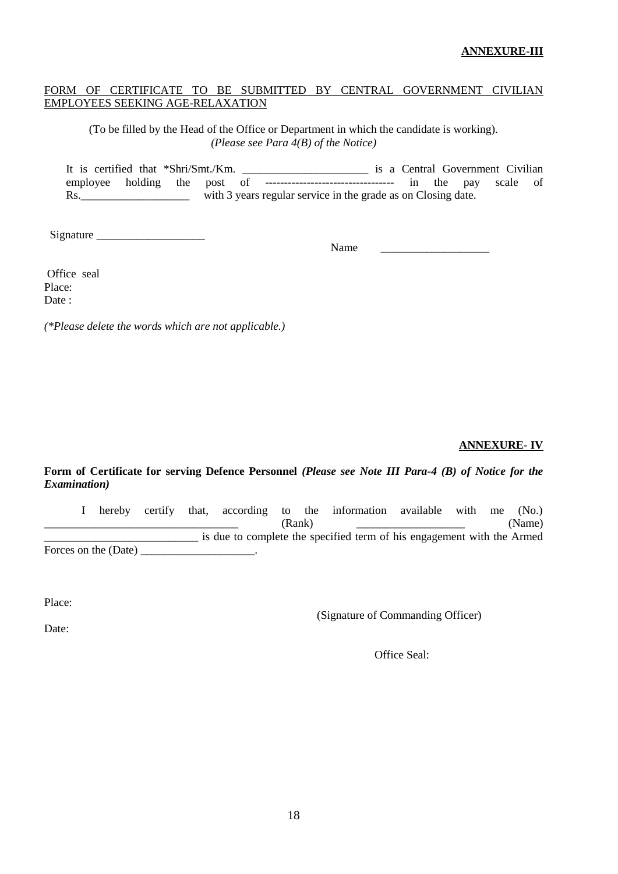### **ANNEXURE-III**

### FORM OF CERTIFICATE TO BE SUBMITTED BY CENTRAL GOVERNMENT CIVILIAN EMPLOYEES SEEKING AGE-RELAXATION

(To be filled by the Head of the Office or Department in which the candidate is working). *(Please see Para 4(B) of the Notice)*

It is certified that \*Shri/Smt./Km. \_\_\_\_\_\_\_\_\_\_\_\_\_\_\_\_\_\_\_\_\_\_\_\_\_\_\_ is a Central Government Civilian employee holding the post of --------------------------------- in the pay scale of Rs. \_\_\_\_\_\_\_\_\_\_\_\_\_\_\_\_\_\_\_\_\_\_\_\_\_ with 3 years regular service in the grade as on Closing date.

Signature

Name \_\_\_\_\_\_\_\_\_\_\_\_\_\_\_\_\_\_\_

Office seal Place: Date:

*(\*Please delete the words which are not applicable.)*

### **ANNEXURE- IV**

### **Form of Certificate for serving Defence Personnel** *(Please see Note III Para-4 (B) of Notice for the Examination)*

I hereby certify that, according to the information available with me (No.) \_\_\_\_\_\_\_\_\_\_\_\_\_\_\_\_\_\_\_\_\_\_\_\_\_\_\_\_\_\_\_\_\_\_ (Rank) \_\_\_\_\_\_\_\_\_\_\_\_\_\_\_\_\_\_\_ (Name) \_\_\_\_\_\_\_\_\_\_\_\_\_\_\_\_\_\_\_\_\_\_\_\_\_\_\_ is due to complete the specified term of his engagement with the Armed Forces on the (Date)

Place:

(Signature of Commanding Officer)

Date:

Office Seal: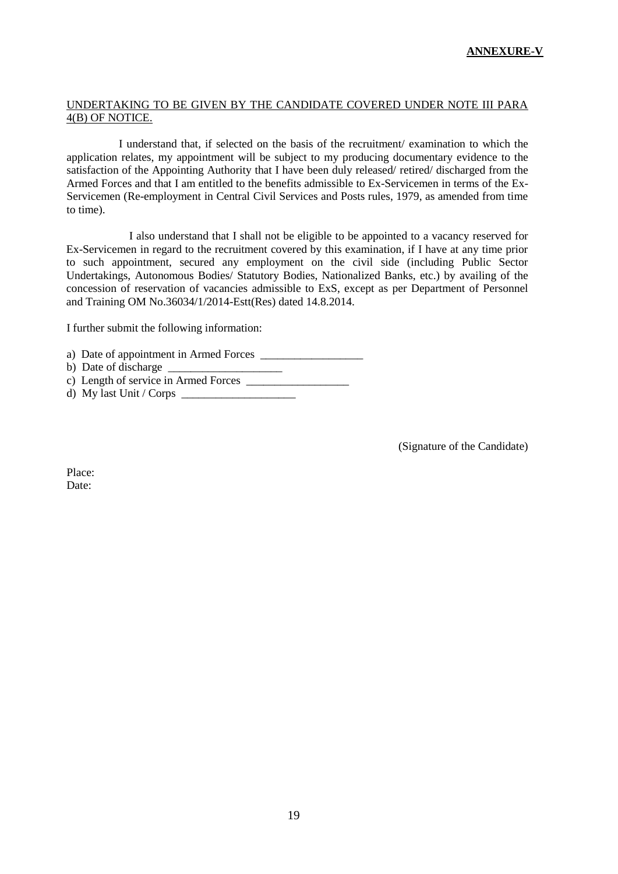### UNDERTAKING TO BE GIVEN BY THE CANDIDATE COVERED UNDER NOTE III PARA 4(B) OF NOTICE.

I understand that, if selected on the basis of the recruitment/ examination to which the application relates, my appointment will be subject to my producing documentary evidence to the satisfaction of the Appointing Authority that I have been duly released/ retired/ discharged from the Armed Forces and that I am entitled to the benefits admissible to Ex-Servicemen in terms of the Ex-Servicemen (Re-employment in Central Civil Services and Posts rules, 1979, as amended from time to time).

 I also understand that I shall not be eligible to be appointed to a vacancy reserved for Ex-Servicemen in regard to the recruitment covered by this examination, if I have at any time prior to such appointment, secured any employment on the civil side (including Public Sector Undertakings, Autonomous Bodies/ Statutory Bodies, Nationalized Banks, etc.) by availing of the concession of reservation of vacancies admissible to ExS, except as per Department of Personnel and Training OM No.36034/1/2014-Estt(Res) dated 14.8.2014.

I further submit the following information:

a) Date of appointment in Armed Forces

b) Date of discharge

c) Length of service in Armed Forces

d) My last Unit / Corps \_\_\_\_\_\_\_\_\_\_\_\_\_\_\_\_\_\_\_\_

(Signature of the Candidate)

Place: Date: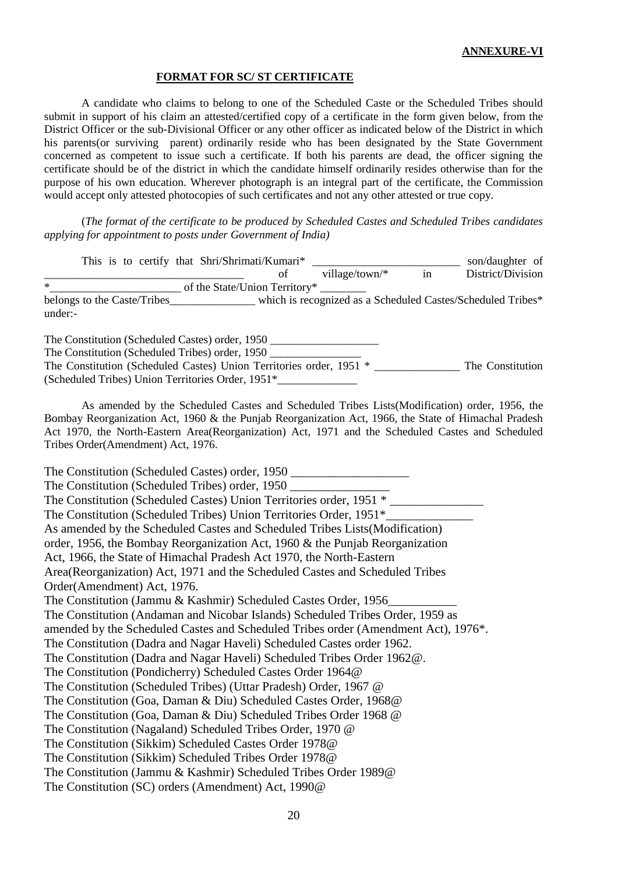#### **FORMAT FOR SC/ ST CERTIFICATE**

A candidate who claims to belong to one of the Scheduled Caste or the Scheduled Tribes should submit in support of his claim an attested/certified copy of a certificate in the form given below, from the District Officer or the sub-Divisional Officer or any other officer as indicated below of the District in which his parents (or surviving parent) ordinarily reside who has been designated by the State Government concerned as competent to issue such a certificate. If both his parents are dead, the officer signing the certificate should be of the district in which the candidate himself ordinarily resides otherwise than for the purpose of his own education. Wherever photograph is an integral part of the certificate, the Commission would accept only attested photocopies of such certificates and not any other attested or true copy.

(*The format of the certificate to be produced by Scheduled Castes and Scheduled Tribes candidates applying for appointment to posts under Government of India)*

| This is to certify that Shri/Shrimati/Kumari*<br>son/daughter of                                                                                                                                                                                                                                                                                 |                   |
|--------------------------------------------------------------------------------------------------------------------------------------------------------------------------------------------------------------------------------------------------------------------------------------------------------------------------------------------------|-------------------|
| village/town/* $\frac{1}{\sin \theta}$<br>of                                                                                                                                                                                                                                                                                                     | District/Division |
| $\ast$<br>of the State/Union Territory*                                                                                                                                                                                                                                                                                                          |                   |
| belongs to the Caste/Tribes_______________ which is recognized as a Scheduled Castes/Scheduled Tribes*<br>under:-                                                                                                                                                                                                                                |                   |
| The Constitution (Scheduled Castes) order, 1950 _________________________________<br>The Constitution (Scheduled Tribes) order, 1950                                                                                                                                                                                                             |                   |
| The Constitution (Scheduled Castes) Union Territories order, 1951 * _____________ The Constitution<br>(Scheduled Tribes) Union Territories Order, 1951*                                                                                                                                                                                          |                   |
| As amended by the Scheduled Castes and Scheduled Tribes Lists (Modification) order, 1956, the<br>Bombay Reorganization Act, 1960 & the Punjab Reorganization Act, 1966, the State of Himachal Pradesh<br>Act 1970, the North-Eastern Area(Reorganization) Act, 1971 and the Scheduled Castes and Scheduled<br>Tribes Order(Amendment) Act, 1976. |                   |
| The Constitution (Scheduled Castes) order, 1950 _________________________________                                                                                                                                                                                                                                                                |                   |
| The Constitution (Scheduled Tribes) order, 1950 _________________________________                                                                                                                                                                                                                                                                |                   |
| The Constitution (Scheduled Castes) Union Territories order, 1951 *                                                                                                                                                                                                                                                                              |                   |
| The Constitution (Scheduled Tribes) Union Territories Order, 1951*                                                                                                                                                                                                                                                                               |                   |
| As amended by the Scheduled Castes and Scheduled Tribes Lists (Modification)                                                                                                                                                                                                                                                                     |                   |
| order, 1956, the Bombay Reorganization Act, 1960 & the Punjab Reorganization                                                                                                                                                                                                                                                                     |                   |
| Act, 1966, the State of Himachal Pradesh Act 1970, the North-Eastern                                                                                                                                                                                                                                                                             |                   |
| Area(Reorganization) Act, 1971 and the Scheduled Castes and Scheduled Tribes                                                                                                                                                                                                                                                                     |                   |
| Order(Amendment) Act, 1976.                                                                                                                                                                                                                                                                                                                      |                   |
| The Constitution (Jammu & Kashmir) Scheduled Castes Order, 1956                                                                                                                                                                                                                                                                                  |                   |
| The Constitution (Andaman and Nicobar Islands) Scheduled Tribes Order, 1959 as                                                                                                                                                                                                                                                                   |                   |
| amended by the Scheduled Castes and Scheduled Tribes order (Amendment Act), 1976*.                                                                                                                                                                                                                                                               |                   |
| The Constitution (Dadra and Nagar Haveli) Scheduled Castes order 1962.                                                                                                                                                                                                                                                                           |                   |
| The Constitution (Dadra and Nagar Haveli) Scheduled Tribes Order 1962@.                                                                                                                                                                                                                                                                          |                   |
| The Constitution (Pondicherry) Scheduled Castes Order 1964@                                                                                                                                                                                                                                                                                      |                   |
| The Constitution (Scheduled Tribes) (Uttar Pradesh) Order, 1967 @                                                                                                                                                                                                                                                                                |                   |
| The Constitution (Goa, Daman & Diu) Scheduled Castes Order, 1968@                                                                                                                                                                                                                                                                                |                   |
| The Constitution (Goa, Daman & Diu) Scheduled Tribes Order 1968 @                                                                                                                                                                                                                                                                                |                   |
| The Constitution (Nagaland) Scheduled Tribes Order, 1970 @                                                                                                                                                                                                                                                                                       |                   |
| The Constitution (Sikkim) Scheduled Castes Order 1978@                                                                                                                                                                                                                                                                                           |                   |
| The Constitution (Sikkim) Scheduled Tribes Order 1978@                                                                                                                                                                                                                                                                                           |                   |
| The Constitution (Jammu & Kashmir) Scheduled Tribes Order 1989@                                                                                                                                                                                                                                                                                  |                   |
| The Constitution (SC) orders (Amendment) Act, 1990@                                                                                                                                                                                                                                                                                              |                   |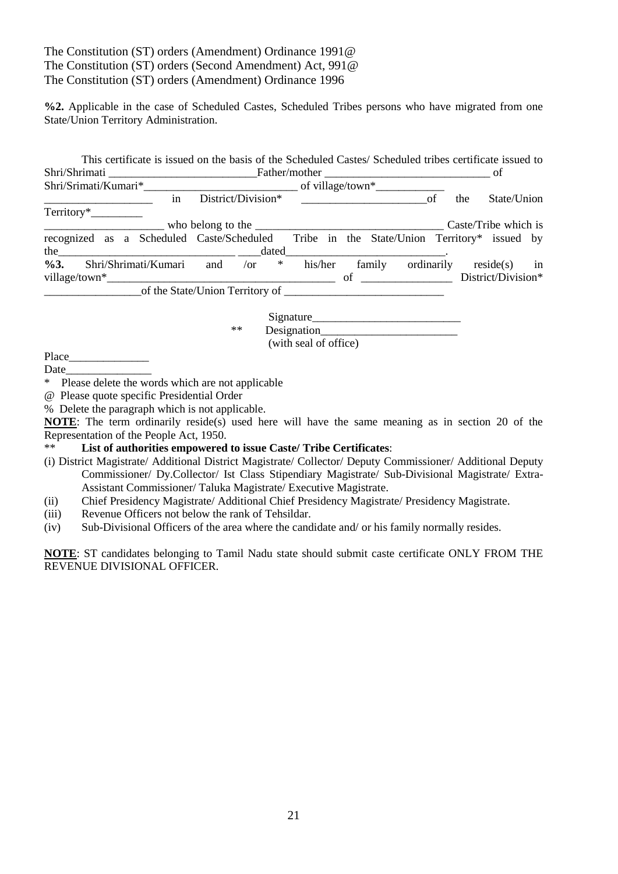# The Constitution (ST) orders (Amendment) Ordinance 1991@ The Constitution (ST) orders (Second Amendment) Act, 991@ The Constitution (ST) orders (Amendment) Ordinance 1996

**%2.** Applicable in the case of Scheduled Castes, Scheduled Tribes persons who have migrated from one State/Union Territory Administration.

| This certificate is issued on the basis of the Scheduled Castes/Scheduled tribes certificate issued to                                                                                                                        |      |                       |                    |
|-------------------------------------------------------------------------------------------------------------------------------------------------------------------------------------------------------------------------------|------|-----------------------|--------------------|
|                                                                                                                                                                                                                               |      |                       |                    |
|                                                                                                                                                                                                                               |      |                       |                    |
| in                                                                                                                                                                                                                            |      |                       | State/Union<br>the |
|                                                                                                                                                                                                                               |      |                       |                    |
|                                                                                                                                                                                                                               |      |                       |                    |
| recognized as a Scheduled Caste/Scheduled Tribe in the State/Union Territory* issued by                                                                                                                                       |      |                       |                    |
| %3. Shri/Shrimati/Kumari and /or * his/her family ordinarily reside(s) in                                                                                                                                                     |      |                       |                    |
| $village/town^*$                                                                                                                                                                                                              |      |                       |                    |
|                                                                                                                                                                                                                               |      |                       |                    |
|                                                                                                                                                                                                                               |      |                       |                    |
|                                                                                                                                                                                                                               | $**$ |                       |                    |
|                                                                                                                                                                                                                               |      | (with seal of office) |                    |
|                                                                                                                                                                                                                               |      |                       |                    |
| Date and the same state of the state of the state of the state of the state of the state of the state of the state of the state of the state of the state of the state of the state of the state of the state of the state of |      |                       |                    |
| * Please delete the words which are not applicable                                                                                                                                                                            |      |                       |                    |

- @ Please quote specific Presidential Order
- % Delete the paragraph which is not applicable.

**NOTE**: The term ordinarily reside(s) used here will have the same meaning as in section 20 of the Representation of the People Act, 1950.

### \*\* **List of authorities empowered to issue Caste/ Tribe Certificates**:

- (i) District Magistrate/ Additional District Magistrate/ Collector/ Deputy Commissioner/ Additional Deputy Commissioner/ Dy.Collector/ Ist Class Stipendiary Magistrate/ Sub-Divisional Magistrate/ Extra-Assistant Commissioner/ Taluka Magistrate/ Executive Magistrate.
- (ii) Chief Presidency Magistrate/ Additional Chief Presidency Magistrate/ Presidency Magistrate.
- (iii) Revenue Officers not below the rank of Tehsildar.
- (iv) Sub-Divisional Officers of the area where the candidate and/ or his family normally resides.

**NOTE**: ST candidates belonging to Tamil Nadu state should submit caste certificate ONLY FROM THE REVENUE DIVISIONAL OFFICER.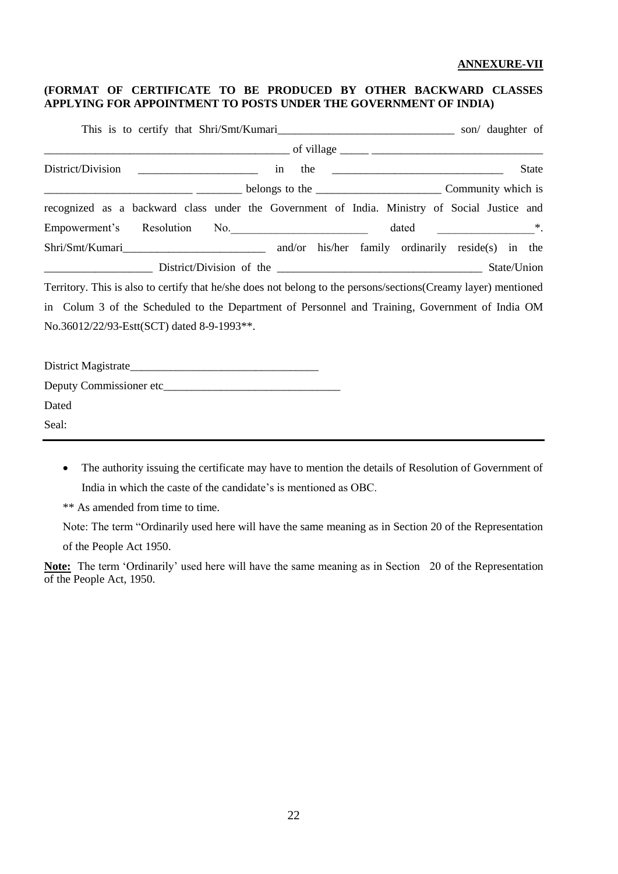#### **ANNEXURE-VII**

### **(FORMAT OF CERTIFICATE TO BE PRODUCED BY OTHER BACKWARD CLASSES APPLYING FOR APPOINTMENT TO POSTS UNDER THE GOVERNMENT OF INDIA)**

|                                                                                                                |                    |  |  |  |                                                       |  |  |  | <b>State</b> |  |  |  |
|----------------------------------------------------------------------------------------------------------------|--------------------|--|--|--|-------------------------------------------------------|--|--|--|--------------|--|--|--|
|                                                                                                                | community which is |  |  |  |                                                       |  |  |  |              |  |  |  |
| recognized as a backward class under the Government of India. Ministry of Social Justice and                   |                    |  |  |  |                                                       |  |  |  |              |  |  |  |
| Empowerment's Resolution No.                                                                                   |                    |  |  |  | dated $\qquad \qquad \overbrace{\qquad \qquad }^{*}.$ |  |  |  |              |  |  |  |
|                                                                                                                |                    |  |  |  |                                                       |  |  |  |              |  |  |  |
|                                                                                                                |                    |  |  |  |                                                       |  |  |  |              |  |  |  |
| Territory. This is also to certify that he/she does not belong to the persons/sections(Creamy layer) mentioned |                    |  |  |  |                                                       |  |  |  |              |  |  |  |
| in Colum 3 of the Scheduled to the Department of Personnel and Training, Government of India OM                |                    |  |  |  |                                                       |  |  |  |              |  |  |  |
| No.36012/22/93-Estt(SCT) dated 8-9-1993**.                                                                     |                    |  |  |  |                                                       |  |  |  |              |  |  |  |
|                                                                                                                |                    |  |  |  |                                                       |  |  |  |              |  |  |  |
|                                                                                                                |                    |  |  |  |                                                       |  |  |  |              |  |  |  |

Dated

Seal:

 The authority issuing the certificate may have to mention the details of Resolution of Government of India in which the caste of the candidate's is mentioned as OBC.

\*\* As amended from time to time.

Note: The term "Ordinarily used here will have the same meaning as in Section 20 of the Representation

of the People Act 1950.

Note: The term 'Ordinarily' used here will have the same meaning as in Section 20 of the Representation of the People Act, 1950.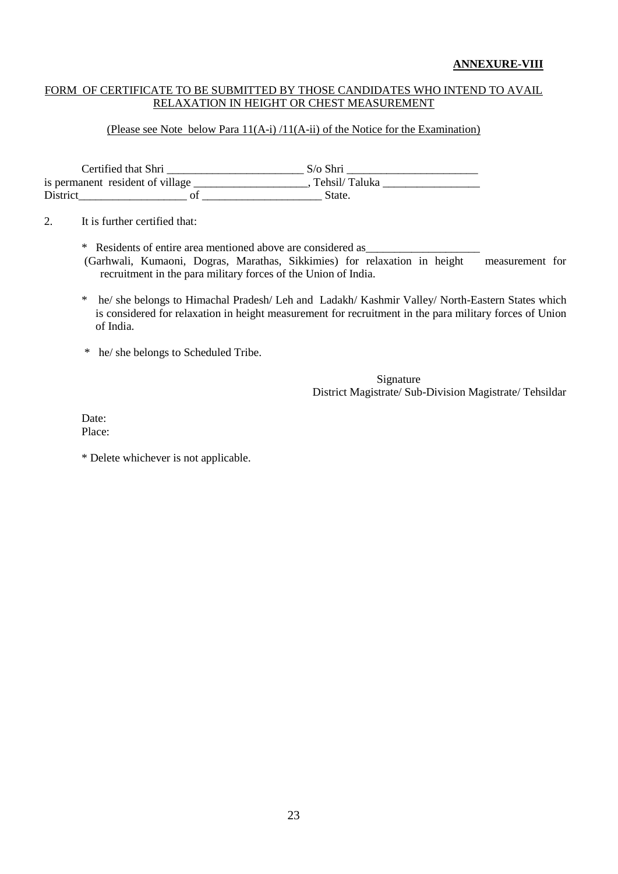### FORM OF CERTIFICATE TO BE SUBMITTED BY THOSE CANDIDATES WHO INTEND TO AVAIL RELAXATION IN HEIGHT OR CHEST MEASUREMENT

#### (Please see Note below Para 11(A-i) /11(A-ii) of the Notice for the Examination)

Certified that Shri \_\_\_\_\_\_\_\_\_\_\_\_\_\_\_\_\_\_\_\_\_\_\_\_ S/o Shri \_\_\_\_\_\_\_\_\_\_\_\_\_\_\_\_\_\_\_\_\_\_\_ is permanent resident of village \_\_\_\_\_\_\_\_\_\_\_\_\_\_\_\_\_\_\_, Tehsil/ Taluka \_\_\_\_\_\_\_\_\_\_\_\_ District\_\_\_\_\_\_\_\_\_\_\_\_\_\_\_\_\_\_\_ of \_\_\_\_\_\_\_\_\_\_\_\_\_\_\_\_\_\_\_\_\_ State.

2. It is further certified that:

\* Residents of entire area mentioned above are considered as\_\_\_\_\_\_\_\_\_\_\_\_\_\_\_\_\_\_\_\_

(Garhwali, Kumaoni, Dogras, Marathas, Sikkimies) for relaxation in height measurement for recruitment in the para military forces of the Union of India.

- \* he/ she belongs to Himachal Pradesh/ Leh and Ladakh/ Kashmir Valley/ North-Eastern States which is considered for relaxation in height measurement for recruitment in the para military forces of Union of India.
- \* he/ she belongs to Scheduled Tribe.

Signature District Magistrate/ Sub-Division Magistrate/ Tehsildar

Date: Place:

\* Delete whichever is not applicable.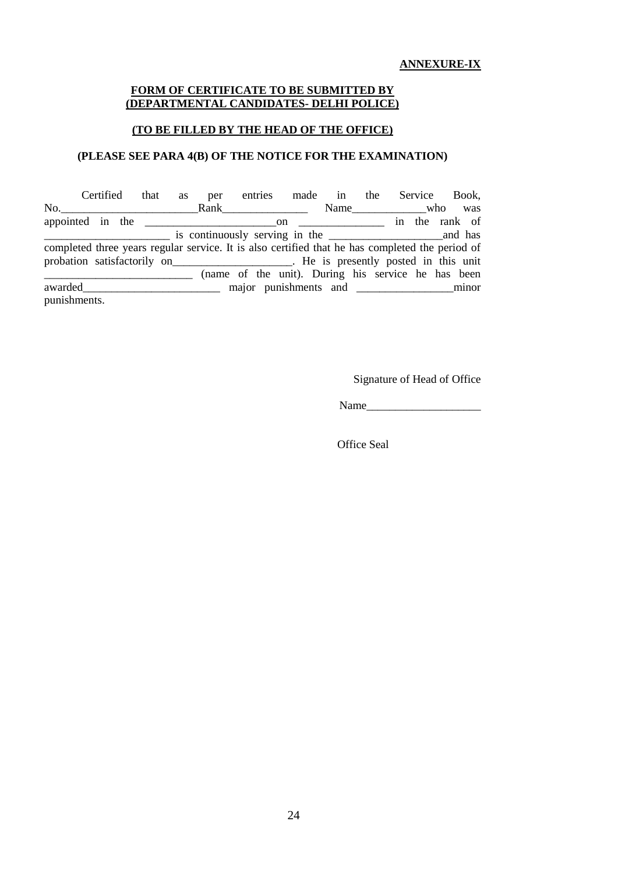#### **FORM OF CERTIFICATE TO BE SUBMITTED BY (DEPARTMENTAL CANDIDATES- DELHI POLICE)**

### **(TO BE FILLED BY THE HEAD OF THE OFFICE)**

# **(PLEASE SEE PARA 4(B) OF THE NOTICE FOR THE EXAMINATION)**

|              | Certified                                                                                       | that as | per |  |  |          | entries made in the Service Book,                  |
|--------------|-------------------------------------------------------------------------------------------------|---------|-----|--|--|----------|----------------------------------------------------|
|              | $\mathbb{R}$ No. $\qquad \qquad \mathbb{R}$ ank                                                 |         |     |  |  | Name who | was                                                |
|              |                                                                                                 |         |     |  |  |          |                                                    |
|              |                                                                                                 |         |     |  |  |          |                                                    |
|              | completed three years regular service. It is also certified that he has completed the period of |         |     |  |  |          |                                                    |
|              | probation satisfactorily on _______________________. He is presently posted in this unit        |         |     |  |  |          |                                                    |
|              |                                                                                                 |         |     |  |  |          | (name of the unit). During his service he has been |
|              | awarded                                                                                         |         |     |  |  |          |                                                    |
| punishments. |                                                                                                 |         |     |  |  |          |                                                    |

Signature of Head of Office

Name\_\_\_\_\_\_\_\_\_\_\_\_\_\_\_\_\_\_\_\_

Office Seal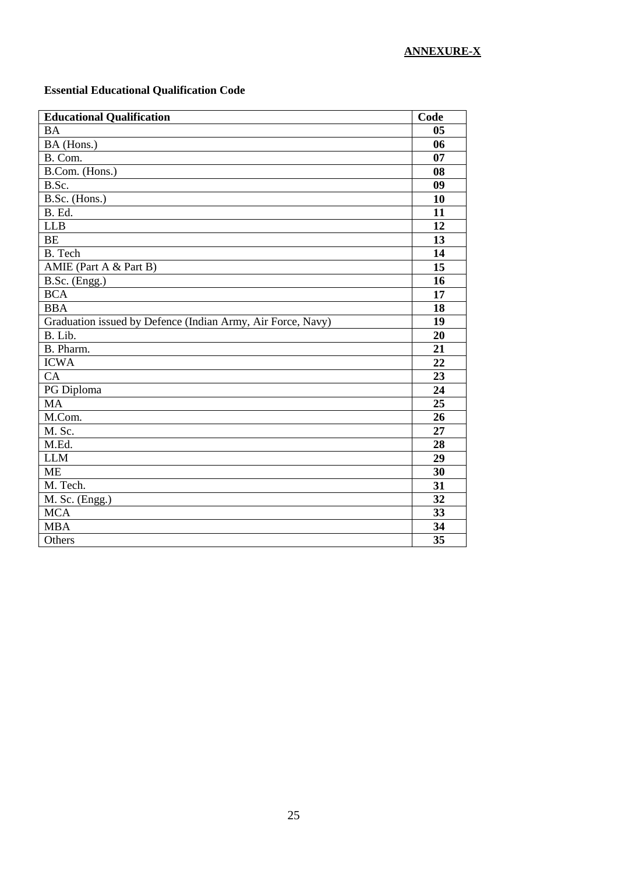# **Essential Educational Qualification Code**

| <b>Educational Qualification</b>                            | Code |
|-------------------------------------------------------------|------|
| <b>BA</b>                                                   | 05   |
| $\overline{\text{BA}}$ (Hons.)                              | 06   |
| B. Com.                                                     | 07   |
| B.Com. (Hons.)                                              | 08   |
| B.Sc.                                                       | 09   |
| B.Sc. (Hons.)                                               | 10   |
| B. Ed.                                                      | 11   |
| LLB                                                         | 12   |
| <b>BE</b>                                                   | 13   |
| B. Tech                                                     | 14   |
| AMIE (Part A & Part B)                                      | 15   |
| B.Sc. (Engg.)                                               | 16   |
| <b>BCA</b>                                                  | 17   |
| <b>BBA</b>                                                  | 18   |
| Graduation issued by Defence (Indian Army, Air Force, Navy) | 19   |
| B. Lib.                                                     | 20   |
| B. Pharm.                                                   | 21   |
| <b>ICWA</b>                                                 | 22   |
| CA                                                          | 23   |
| PG Diploma                                                  | 24   |
| <b>MA</b>                                                   | 25   |
| M.Com.                                                      | 26   |
| M. Sc.                                                      | 27   |
| M.Ed.                                                       | 28   |
| <b>LLM</b>                                                  | 29   |
| <b>ME</b>                                                   | 30   |
| M. Tech.                                                    | 31   |
| M. Sc. (Engg.)                                              | 32   |
| <b>MCA</b>                                                  | 33   |
| <b>MBA</b>                                                  | 34   |
| Others                                                      | 35   |